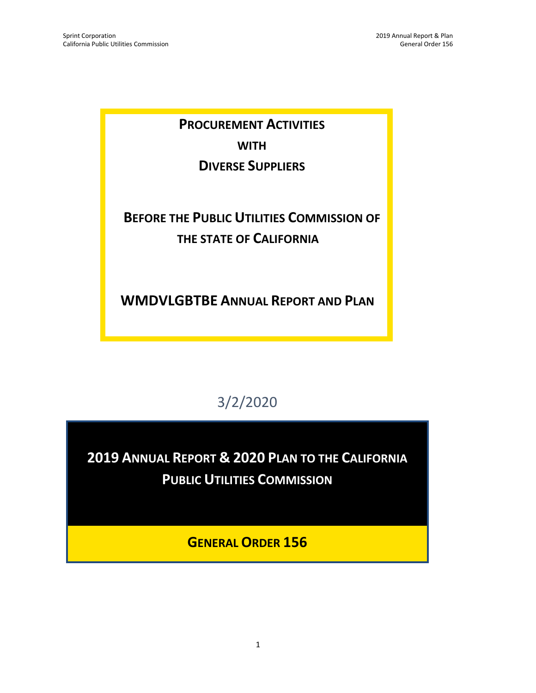**PROCUREMENT ACTIVITIES WITH DIVERSE SUPPLIERS**

# **BEFORE THE PUBLIC UTILITIES COMMISSION OF THE STATE OF CALIFORNIA**

**WMDVLGBTBE ANNUAL REPORT AND PLAN**

# 3/2/2020

**2019 ANNUAL REPORT & 2020 PLAN TO THE CALIFORNIA PUBLIC UTILITIES COMMISSION** 

**GENERAL ORDER 156**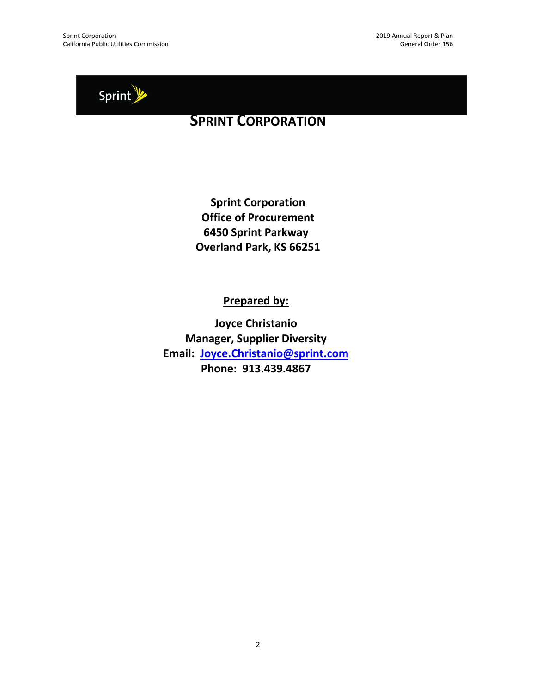

## **SPRINT CORPORATION**

**Sprint Corporation Office of Procurement 6450 Sprint Parkway Overland Park, KS 66251**

**Prepared by:**

**Joyce Christanio Manager, Supplier Diversity Email: [Joyce.Christanio@sprint.com](mailto:Joyce.Christanio@sprint.com) Phone: 913.439.4867**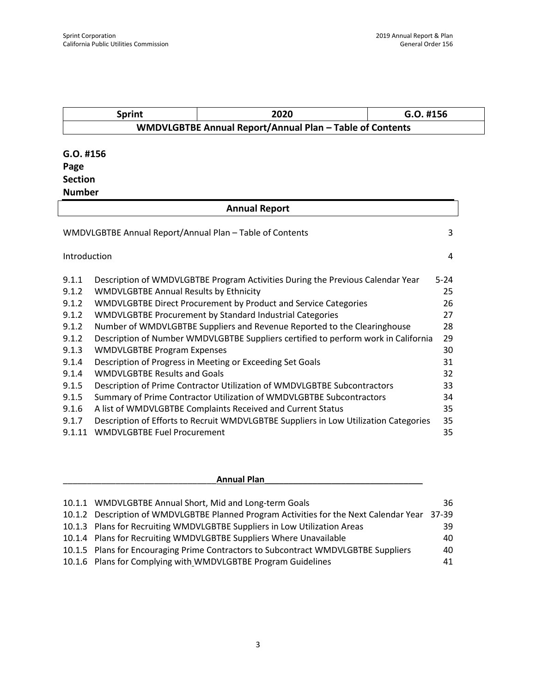|                | <b>Sprint</b>                                 | 2020<br>G.O. #156                                                                    |          |
|----------------|-----------------------------------------------|--------------------------------------------------------------------------------------|----------|
|                |                                               | WMDVLGBTBE Annual Report/Annual Plan - Table of Contents                             |          |
| $G.O.$ #156    |                                               |                                                                                      |          |
|                |                                               |                                                                                      |          |
| Page           |                                               |                                                                                      |          |
| <b>Section</b> |                                               |                                                                                      |          |
| <b>Number</b>  |                                               |                                                                                      |          |
|                |                                               | <b>Annual Report</b>                                                                 |          |
|                |                                               | WMDVLGBTBE Annual Report/Annual Plan - Table of Contents                             | 3        |
| Introduction   |                                               |                                                                                      | 4        |
| 9.1.1          |                                               | Description of WMDVLGBTBE Program Activities During the Previous Calendar Year       | $5 - 24$ |
| 9.1.2          | <b>WMDVLGBTBE Annual Results by Ethnicity</b> |                                                                                      | 25       |
| 9.1.2          |                                               | WMDVLGBTBE Direct Procurement by Product and Service Categories                      | 26       |
| 9.1.2          |                                               | WMDVLGBTBE Procurement by Standard Industrial Categories                             | 27       |
| 9.1.2          |                                               | Number of WMDVLGBTBE Suppliers and Revenue Reported to the Clearinghouse             | 28       |
| 9.1.2          |                                               | Description of Number WMDVLGBTBE Suppliers certified to perform work in California   | 29       |
| 9.1.3          | <b>WMDVLGBTBE Program Expenses</b>            |                                                                                      | 30       |
| 9.1.4          |                                               | Description of Progress in Meeting or Exceeding Set Goals                            | 31       |
| 9.1.4          | <b>WMDVLGBTBE Results and Goals</b>           |                                                                                      | 32       |
| 9.1.5          |                                               | Description of Prime Contractor Utilization of WMDVLGBTBE Subcontractors             | 33       |
| 9.1.5          |                                               | Summary of Prime Contractor Utilization of WMDVLGBTBE Subcontractors                 | 34       |
| 9.1.6          |                                               | A list of WMDVLGBTBE Complaints Received and Current Status                          | 35       |
| 9.1.7          |                                               | Description of Efforts to Recruit WMDVLGBTBE Suppliers in Low Utilization Categories | 35       |
| 9.1.11         | <b>WMDVLGBTBE Fuel Procurement</b>            |                                                                                      | 35       |

| <b>Annual Plan</b>                                                                     |           |
|----------------------------------------------------------------------------------------|-----------|
|                                                                                        |           |
| 10.1.1 WMDVLGBTBE Annual Short, Mid and Long-term Goals                                | 36        |
| 10.1.2 Description of WMDVLGBTBE Planned Program Activities for the Next Calendar Year | $37 - 39$ |
| 10.1.3 Plans for Recruiting WMDVLGBTBE Suppliers in Low Utilization Areas              | 39        |
| 10.1.4 Plans for Recruiting WMDVLGBTBE Suppliers Where Unavailable                     | 40        |
| 10.1.5 Plans for Encouraging Prime Contractors to Subcontract WMDVLGBTBE Suppliers     | 40        |
| 10.1.6 Plans for Complying with WMDVLGBTBE Program Guidelines                          | 41        |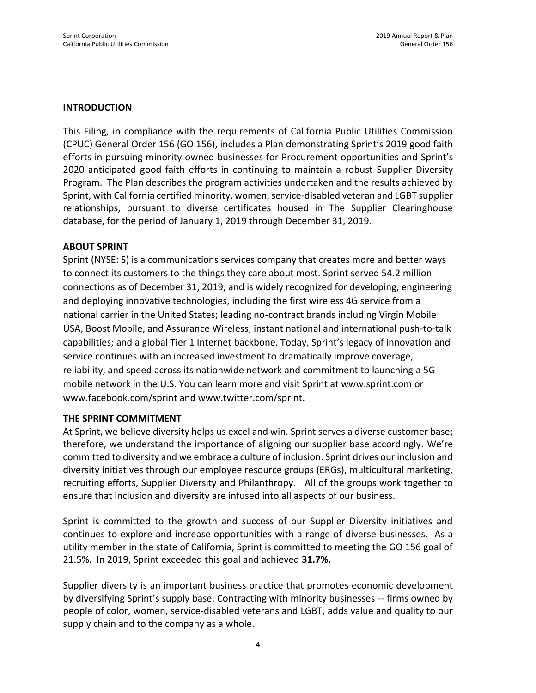#### **INTRODUCTION**

This Filing, in compliance with the requirements of California Public Utilities Commission (CPUC) General Order 156 (GO 156), includes a Plan demonstrating Sprint's 2019 good faith efforts in pursuing minority owned businesses for Procurement opportunities and Sprint's 2020 anticipated good faith efforts in continuing to maintain a robust Supplier Diversity Program. The Plan describes the program activities undertaken and the results achieved by Sprint, with California certified minority, women, service-disabled veteran and LGBT supplier relationships, pursuant to diverse certificates housed in The Supplier Clearinghouse database, for the period of January 1, 2019 through December 31, 2019.

#### **ABOUT SPRINT**

Sprint (NYSE: S) is a communications services company that creates more and better ways to connect its customers to the things they care about most. Sprint served 54.2 million connections as of December 31, 2019, and is widely recognized for developing, engineering and deploying innovative technologies, including the first wireless 4G service from a national carrier in the United States; leading no-contract brands including Virgin Mobile USA, Boost Mobile, and Assurance Wireless; instant national and international push-to-talk capabilities; and a global Tier 1 Internet backbone. Today, Sprint's legacy of innovation and service continues with an increased investment to dramatically improve coverage, reliability, and speed across its nationwide network and commitment to launching a 5G mobile network in the U.S. You can learn more and visit Sprint at www.sprint.com or www.facebook.com/sprint and www.twitter.com/sprint.

#### **THE SPRINT COMMITMENT**

At Sprint, we believe diversity helps us excel and win. Sprint serves a diverse customer base; therefore, we understand the importance of aligning our supplier base accordingly. We're committed to diversity and we embrace a culture of inclusion. Sprint drives our inclusion and diversity initiatives through our employee resource groups (ERGs), multicultural marketing, recruiting efforts, Supplier Diversity and Philanthropy. All of the groups work together to ensure that inclusion and diversity are infused into all aspects of our business.

Sprint is committed to the growth and success of our Supplier Diversity initiatives and continues to explore and increase opportunities with a range of diverse businesses. As a utility member in the state of California, Sprint is committed to meeting the GO 156 goal of 21.5%. In 2019, Sprint exceeded this goal and achieved **31.7%.**

Supplier diversity is an important business practice that promotes economic development by diversifying Sprint's supply base. Contracting with minority businesses -- firms owned by people of color, women, service-disabled veterans and LGBT, adds value and quality to our supply chain and to the company as a whole.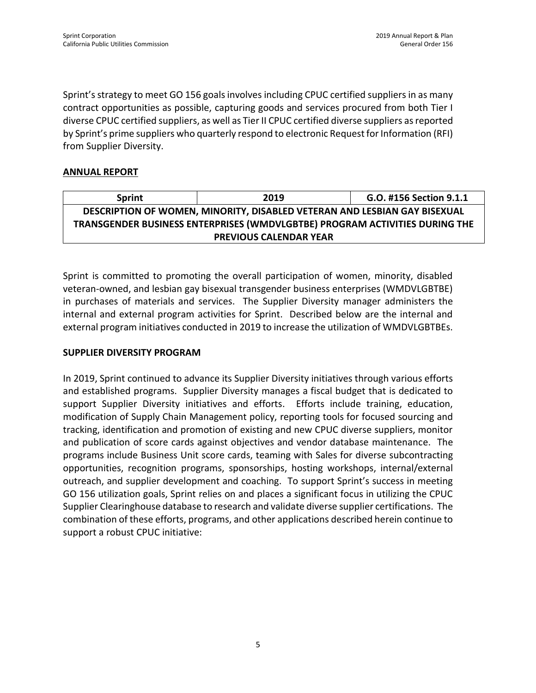Sprint's strategy to meet GO 156 goals involves including CPUC certified suppliers in as many contract opportunities as possible, capturing goods and services procured from both Tier I diverse CPUC certified suppliers, as well as Tier II CPUC certified diverse suppliers as reported by Sprint's prime suppliers who quarterly respond to electronic Request for Information (RFI) from Supplier Diversity.

#### **ANNUAL REPORT**

| <b>Sprint</b>                                                               | 2019                          | G.O. #156 Section 9.1.1 |  |  |  |  |  |  |  |  |
|-----------------------------------------------------------------------------|-------------------------------|-------------------------|--|--|--|--|--|--|--|--|
| DESCRIPTION OF WOMEN, MINORITY, DISABLED VETERAN AND LESBIAN GAY BISEXUAL   |                               |                         |  |  |  |  |  |  |  |  |
| TRANSGENDER BUSINESS ENTERPRISES (WMDVLGBTBE) PROGRAM ACTIVITIES DURING THE |                               |                         |  |  |  |  |  |  |  |  |
|                                                                             | <b>PREVIOUS CALENDAR YEAR</b> |                         |  |  |  |  |  |  |  |  |

Sprint is committed to promoting the overall participation of women, minority, disabled veteran-owned, and lesbian gay bisexual transgender business enterprises (WMDVLGBTBE) in purchases of materials and services. The Supplier Diversity manager administers the internal and external program activities for Sprint. Described below are the internal and external program initiatives conducted in 2019 to increase the utilization of WMDVLGBTBEs.

#### **SUPPLIER DIVERSITY PROGRAM**

In 2019, Sprint continued to advance its Supplier Diversity initiatives through various efforts and established programs. Supplier Diversity manages a fiscal budget that is dedicated to support Supplier Diversity initiatives and efforts. Efforts include training, education, modification of Supply Chain Management policy, reporting tools for focused sourcing and tracking, identification and promotion of existing and new CPUC diverse suppliers, monitor and publication of score cards against objectives and vendor database maintenance. The programs include Business Unit score cards, teaming with Sales for diverse subcontracting opportunities, recognition programs, sponsorships, hosting workshops, internal/external outreach, and supplier development and coaching. To support Sprint's success in meeting GO 156 utilization goals, Sprint relies on and places a significant focus in utilizing the CPUC Supplier Clearinghouse database to research and validate diverse supplier certifications. The combination of these efforts, programs, and other applications described herein continue to support a robust CPUC initiative: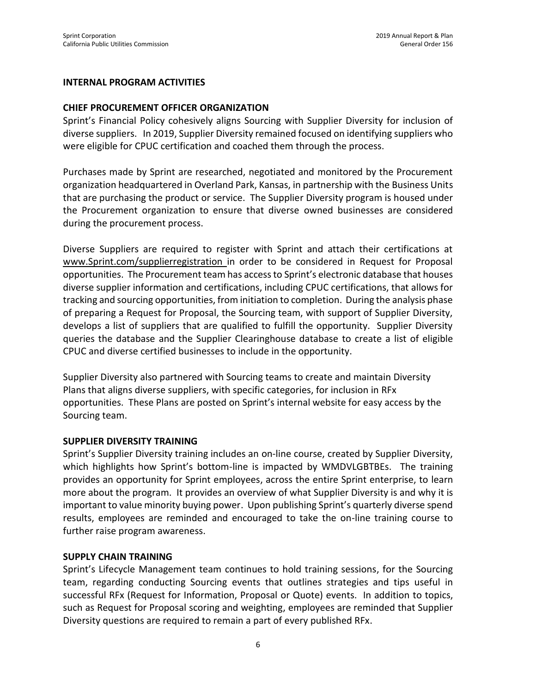#### **INTERNAL PROGRAM ACTIVITIES**

#### **CHIEF PROCUREMENT OFFICER ORGANIZATION**

Sprint's Financial Policy cohesively aligns Sourcing with Supplier Diversity for inclusion of diverse suppliers. In 2019, Supplier Diversity remained focused on identifying suppliers who were eligible for CPUC certification and coached them through the process.

Purchases made by Sprint are researched, negotiated and monitored by the Procurement organization headquartered in Overland Park, Kansas, in partnership with the Business Units that are purchasing the product or service. The Supplier Diversity program is housed under the Procurement organization to ensure that diverse owned businesses are considered during the procurement process.

Diverse Suppliers are required to register with Sprint and attach their certifications at [www.Sprint.com/supplierregistration](http://www.sprint.com/supplierregistration) in order to be considered in Request for Proposal opportunities. The Procurement team has access to Sprint's electronic database that houses diverse supplier information and certifications, including CPUC certifications, that allows for tracking and sourcing opportunities, from initiation to completion. During the analysis phase of preparing a Request for Proposal, the Sourcing team, with support of Supplier Diversity, develops a list of suppliers that are qualified to fulfill the opportunity. Supplier Diversity queries the database and the Supplier Clearinghouse database to create a list of eligible CPUC and diverse certified businesses to include in the opportunity.

Supplier Diversity also partnered with Sourcing teams to create and maintain Diversity Plans that aligns diverse suppliers, with specific categories, for inclusion in RFx opportunities. These Plans are posted on Sprint's internal website for easy access by the Sourcing team.

#### **SUPPLIER DIVERSITY TRAINING**

Sprint's Supplier Diversity training includes an on-line course, created by Supplier Diversity, which highlights how Sprint's bottom-line is impacted by WMDVLGBTBEs. The training provides an opportunity for Sprint employees, across the entire Sprint enterprise, to learn more about the program. It provides an overview of what Supplier Diversity is and why it is important to value minority buying power. Upon publishing Sprint's quarterly diverse spend results, employees are reminded and encouraged to take the on-line training course to further raise program awareness.

#### **SUPPLY CHAIN TRAINING**

Sprint's Lifecycle Management team continues to hold training sessions, for the Sourcing team, regarding conducting Sourcing events that outlines strategies and tips useful in successful RFx (Request for Information, Proposal or Quote) events. In addition to topics, such as Request for Proposal scoring and weighting, employees are reminded that Supplier Diversity questions are required to remain a part of every published RFx.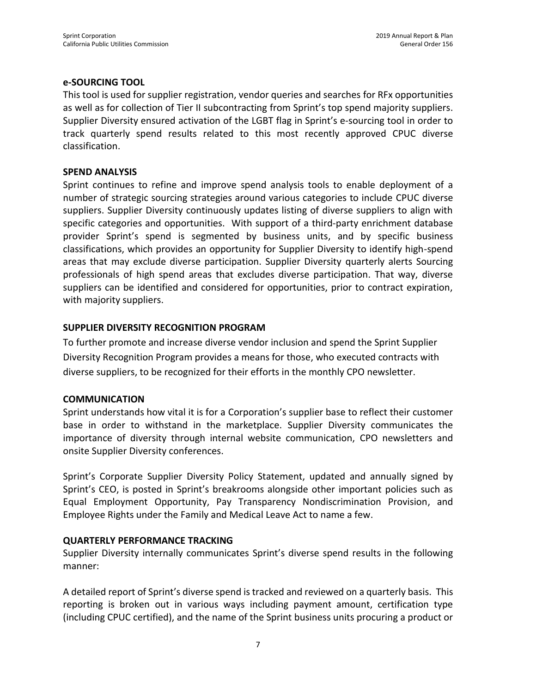#### **e-SOURCING TOOL**

This tool is used for supplier registration, vendor queries and searches for RFx opportunities as well as for collection of Tier II subcontracting from Sprint's top spend majority suppliers. Supplier Diversity ensured activation of the LGBT flag in Sprint's e-sourcing tool in order to track quarterly spend results related to this most recently approved CPUC diverse classification.

#### **SPEND ANALYSIS**

Sprint continues to refine and improve spend analysis tools to enable deployment of a number of strategic sourcing strategies around various categories to include CPUC diverse suppliers. Supplier Diversity continuously updates listing of diverse suppliers to align with specific categories and opportunities. With support of a third-party enrichment database provider Sprint's spend is segmented by business units, and by specific business classifications, which provides an opportunity for Supplier Diversity to identify high-spend areas that may exclude diverse participation. Supplier Diversity quarterly alerts Sourcing professionals of high spend areas that excludes diverse participation. That way, diverse suppliers can be identified and considered for opportunities, prior to contract expiration, with majority suppliers.

#### **SUPPLIER DIVERSITY RECOGNITION PROGRAM**

To further promote and increase diverse vendor inclusion and spend the Sprint Supplier Diversity Recognition Program provides a means for those, who executed contracts with diverse suppliers, to be recognized for their efforts in the monthly CPO newsletter.

#### **COMMUNICATION**

Sprint understands how vital it is for a Corporation's supplier base to reflect their customer base in order to withstand in the marketplace. Supplier Diversity communicates the importance of diversity through internal website communication, CPO newsletters and onsite Supplier Diversity conferences.

Sprint's Corporate Supplier Diversity Policy Statement, updated and annually signed by Sprint's CEO, is posted in Sprint's breakrooms alongside other important policies such as Equal Employment Opportunity, Pay Transparency Nondiscrimination Provision, and Employee Rights under the Family and Medical Leave Act to name a few.

#### **QUARTERLY PERFORMANCE TRACKING**

Supplier Diversity internally communicates Sprint's diverse spend results in the following manner:

A detailed report of Sprint's diverse spend is tracked and reviewed on a quarterly basis. This reporting is broken out in various ways including payment amount, certification type (including CPUC certified), and the name of the Sprint business units procuring a product or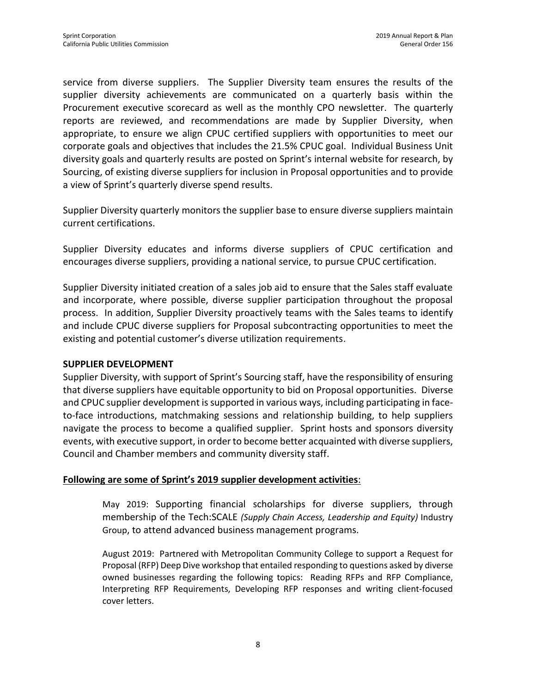service from diverse suppliers. The Supplier Diversity team ensures the results of the supplier diversity achievements are communicated on a quarterly basis within the Procurement executive scorecard as well as the monthly CPO newsletter. The quarterly reports are reviewed, and recommendations are made by Supplier Diversity, when appropriate, to ensure we align CPUC certified suppliers with opportunities to meet our corporate goals and objectives that includes the 21.5% CPUC goal. Individual Business Unit diversity goals and quarterly results are posted on Sprint's internal website for research, by Sourcing, of existing diverse suppliers for inclusion in Proposal opportunities and to provide a view of Sprint's quarterly diverse spend results.

Supplier Diversity quarterly monitors the supplier base to ensure diverse suppliers maintain current certifications.

Supplier Diversity educates and informs diverse suppliers of CPUC certification and encourages diverse suppliers, providing a national service, to pursue CPUC certification.

Supplier Diversity initiated creation of a sales job aid to ensure that the Sales staff evaluate and incorporate, where possible, diverse supplier participation throughout the proposal process. In addition, Supplier Diversity proactively teams with the Sales teams to identify and include CPUC diverse suppliers for Proposal subcontracting opportunities to meet the existing and potential customer's diverse utilization requirements.

#### **SUPPLIER DEVELOPMENT**

Supplier Diversity, with support of Sprint's Sourcing staff, have the responsibility of ensuring that diverse suppliers have equitable opportunity to bid on Proposal opportunities. Diverse and CPUC supplier development is supported in various ways, including participating in faceto-face introductions, matchmaking sessions and relationship building, to help suppliers navigate the process to become a qualified supplier. Sprint hosts and sponsors diversity events, with executive support, in order to become better acquainted with diverse suppliers, Council and Chamber members and community diversity staff.

#### **Following are some of Sprint's 2019 supplier development activities**:

May 2019: Supporting financial scholarships for diverse suppliers, through membership of the Tech:SCALE *(Supply Chain Access, Leadership and Equity)* Industry Group, to attend advanced business management programs.

August 2019: Partnered with Metropolitan Community College to support a Request for Proposal (RFP) Deep Dive workshop that entailed responding to questions asked by diverse owned businesses regarding the following topics: Reading RFPs and RFP Compliance, Interpreting RFP Requirements, Developing RFP responses and writing client-focused cover letters.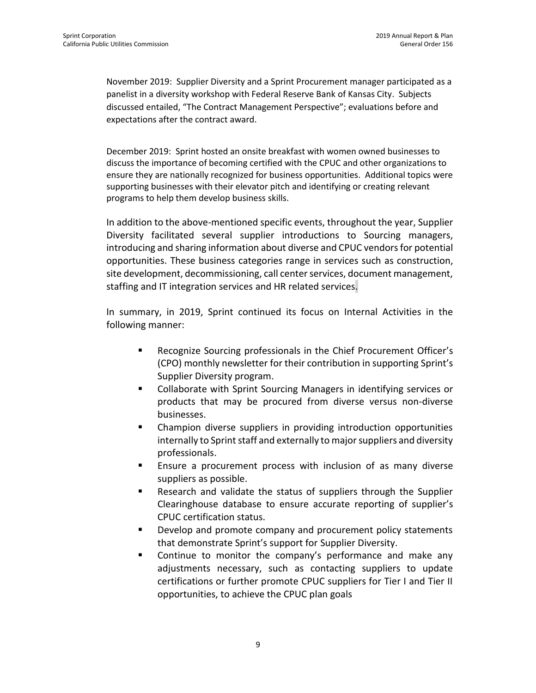November 2019: Supplier Diversity and a Sprint Procurement manager participated as a panelist in a diversity workshop with Federal Reserve Bank of Kansas City. Subjects discussed entailed, "The Contract Management Perspective"; evaluations before and expectations after the contract award.

December 2019: Sprint hosted an onsite breakfast with women owned businesses to discuss the importance of becoming certified with the CPUC and other organizations to ensure they are nationally recognized for business opportunities. Additional topics were supporting businesses with their elevator pitch and identifying or creating relevant programs to help them develop business skills.

In addition to the above-mentioned specific events, throughout the year, Supplier Diversity facilitated several supplier introductions to Sourcing managers, introducing and sharing information about diverse and CPUC vendors for potential opportunities. These business categories range in services such as construction, site development, decommissioning, call center services, document management, staffing and IT integration services and HR related services.

In summary, in 2019, Sprint continued its focus on Internal Activities in the following manner:

- Recognize Sourcing professionals in the Chief Procurement Officer's (CPO) monthly newsletter for their contribution in supporting Sprint's Supplier Diversity program.
- Collaborate with Sprint Sourcing Managers in identifying services or products that may be procured from diverse versus non-diverse businesses.
- Champion diverse suppliers in providing introduction opportunities internally to Sprint staff and externally to major suppliers and diversity professionals.
- Ensure a procurement process with inclusion of as many diverse suppliers as possible.
- Research and validate the status of suppliers through the Supplier Clearinghouse database to ensure accurate reporting of supplier's CPUC certification status.
- Develop and promote company and procurement policy statements that demonstrate Sprint's support for Supplier Diversity.
- Continue to monitor the company's performance and make any adjustments necessary, such as contacting suppliers to update certifications or further promote CPUC suppliers for Tier I and Tier II opportunities, to achieve the CPUC plan goals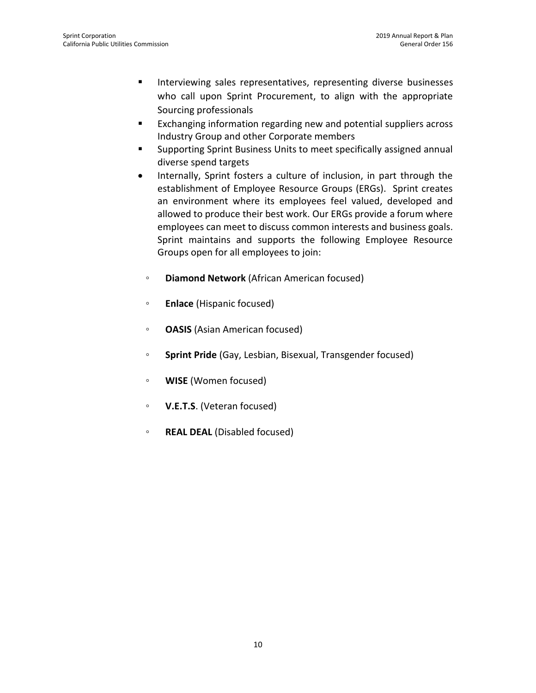- Interviewing sales representatives, representing diverse businesses who call upon Sprint Procurement, to align with the appropriate Sourcing professionals
- Exchanging information regarding new and potential suppliers across Industry Group and other Corporate members
- Supporting Sprint Business Units to meet specifically assigned annual diverse spend targets
- Internally, Sprint fosters a culture of inclusion, in part through the establishment of Employee Resource Groups (ERGs). Sprint creates an environment where its employees feel valued, developed and allowed to produce their best work. Our ERGs provide a forum where employees can meet to discuss common interests and business goals. Sprint maintains and supports the following Employee Resource Groups open for all employees to join:
	- **Diamond Network** (African American focused)
	- **Enlace** (Hispanic focused)
	- **OASIS** (Asian American focused)
	- **Sprint Pride** (Gay, Lesbian, Bisexual, Transgender focused)
	- **WISE** (Women focused)
	- **◦ V.E.T.S**. (Veteran focused)
	- **REAL DEAL** (Disabled focused)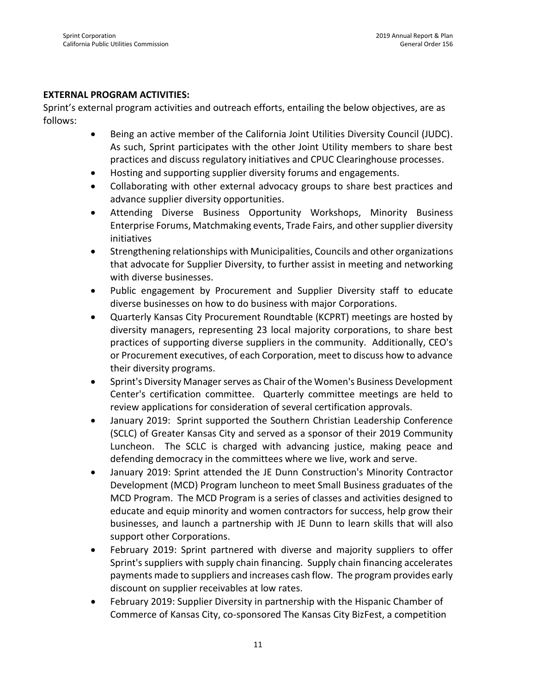#### **EXTERNAL PROGRAM ACTIVITIES:**

Sprint's external program activities and outreach efforts, entailing the below objectives, are as follows:

- Being an active member of the California Joint Utilities Diversity Council (JUDC). As such, Sprint participates with the other Joint Utility members to share best practices and discuss regulatory initiatives and CPUC Clearinghouse processes.
- Hosting and supporting supplier diversity forums and engagements.
- Collaborating with other external advocacy groups to share best practices and advance supplier diversity opportunities.
- Attending Diverse Business Opportunity Workshops, Minority Business Enterprise Forums, Matchmaking events, Trade Fairs, and other supplier diversity initiatives
- Strengthening relationships with Municipalities, Councils and other organizations that advocate for Supplier Diversity, to further assist in meeting and networking with diverse businesses.
- Public engagement by Procurement and Supplier Diversity staff to educate diverse businesses on how to do business with major Corporations.
- Quarterly Kansas City Procurement Roundtable (KCPRT) meetings are hosted by diversity managers, representing 23 local majority corporations, to share best practices of supporting diverse suppliers in the community. Additionally, CEO's or Procurement executives, of each Corporation, meet to discuss how to advance their diversity programs.
- Sprint's Diversity Manager serves as Chair of the Women's Business Development Center's certification committee. Quarterly committee meetings are held to review applications for consideration of several certification approvals.
- January 2019: Sprint supported the Southern Christian Leadership Conference (SCLC) of Greater Kansas City and served as a sponsor of their 2019 Community Luncheon. The SCLC is charged with advancing justice, making peace and defending democracy in the committees where we live, work and serve.
- January 2019: Sprint attended the JE Dunn Construction's Minority Contractor Development (MCD) Program luncheon to meet Small Business graduates of the MCD Program. The MCD Program is a series of classes and activities designed to educate and equip minority and women contractors for success, help grow their businesses, and launch a partnership with JE Dunn to learn skills that will also support other Corporations.
- February 2019: Sprint partnered with diverse and majority suppliers to offer Sprint's suppliers with supply chain financing. Supply chain financing accelerates payments made to suppliers and increases cash flow. The program provides early discount on supplier receivables at low rates.
- February 2019: Supplier Diversity in partnership with the Hispanic Chamber of Commerce of Kansas City, co-sponsored The Kansas City BizFest, a competition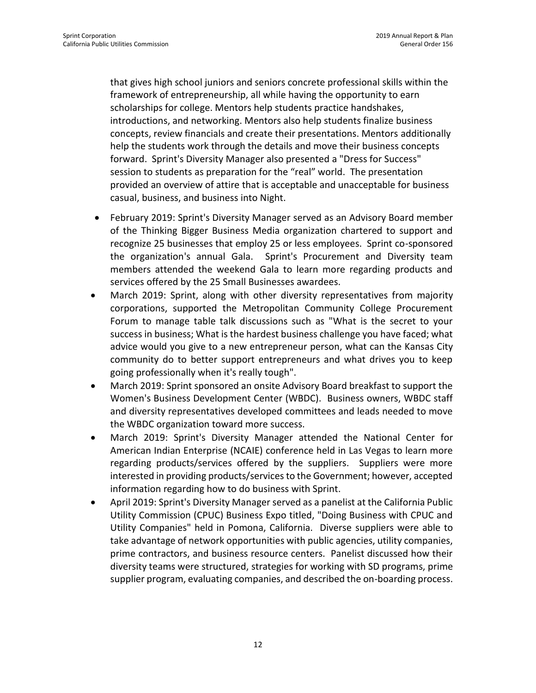that gives high school juniors and seniors concrete professional skills within the framework of entrepreneurship, all while having the opportunity to earn scholarships for college. Mentors help students practice handshakes, introductions, and networking. Mentors also help students finalize business concepts, review financials and create their presentations. Mentors additionally help the students work through the details and move their business concepts forward. Sprint's Diversity Manager also presented a "Dress for Success" session to students as preparation for the "real" world. The presentation provided an overview of attire that is acceptable and unacceptable for business casual, business, and business into Night.

- February 2019: Sprint's Diversity Manager served as an Advisory Board member of the Thinking Bigger Business Media organization chartered to support and recognize 25 businesses that employ 25 or less employees. Sprint co-sponsored the organization's annual Gala. Sprint's Procurement and Diversity team members attended the weekend Gala to learn more regarding products and services offered by the 25 Small Businesses awardees.
- March 2019: Sprint, along with other diversity representatives from majority corporations, supported the Metropolitan Community College Procurement Forum to manage table talk discussions such as "What is the secret to your success in business; What is the hardest business challenge you have faced; what advice would you give to a new entrepreneur person, what can the Kansas City community do to better support entrepreneurs and what drives you to keep going professionally when it's really tough".
- March 2019: Sprint sponsored an onsite Advisory Board breakfast to support the Women's Business Development Center (WBDC). Business owners, WBDC staff and diversity representatives developed committees and leads needed to move the WBDC organization toward more success.
- March 2019: Sprint's Diversity Manager attended the National Center for American Indian Enterprise (NCAIE) conference held in Las Vegas to learn more regarding products/services offered by the suppliers. Suppliers were more interested in providing products/services to the Government; however, accepted information regarding how to do business with Sprint.
- April 2019: Sprint's Diversity Manager served as a panelist at the California Public Utility Commission (CPUC) Business Expo titled, "Doing Business with CPUC and Utility Companies" held in Pomona, California. Diverse suppliers were able to take advantage of network opportunities with public agencies, utility companies, prime contractors, and business resource centers. Panelist discussed how their diversity teams were structured, strategies for working with SD programs, prime supplier program, evaluating companies, and described the on-boarding process.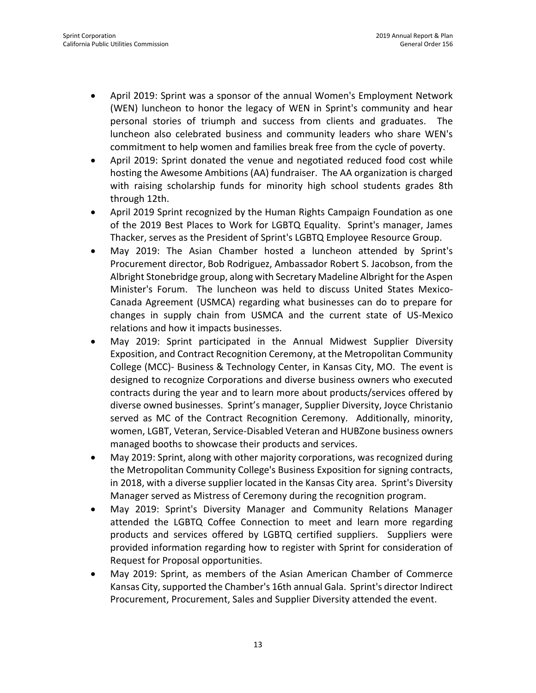- April 2019: Sprint was a sponsor of the annual Women's Employment Network (WEN) luncheon to honor the legacy of WEN in Sprint's community and hear personal stories of triumph and success from clients and graduates. The luncheon also celebrated business and community leaders who share WEN's commitment to help women and families break free from the cycle of poverty.
- April 2019: Sprint donated the venue and negotiated reduced food cost while hosting the Awesome Ambitions (AA) fundraiser. The AA organization is charged with raising scholarship funds for minority high school students grades 8th through 12th.
- April 2019 Sprint recognized by the Human Rights Campaign Foundation as one of the 2019 Best Places to Work for LGBTQ Equality. Sprint's manager, James Thacker, serves as the President of Sprint's LGBTQ Employee Resource Group.
- May 2019: The Asian Chamber hosted a luncheon attended by Sprint's Procurement director, Bob Rodriguez, Ambassador Robert S. Jacobson, from the Albright Stonebridge group, along with Secretary Madeline Albright for the Aspen Minister's Forum. The luncheon was held to discuss United States Mexico-Canada Agreement (USMCA) regarding what businesses can do to prepare for changes in supply chain from USMCA and the current state of US-Mexico relations and how it impacts businesses.
- May 2019: Sprint participated in the Annual Midwest Supplier Diversity Exposition, and Contract Recognition Ceremony, at the Metropolitan Community College (MCC)- Business & Technology Center, in Kansas City, MO. The event is designed to recognize Corporations and diverse business owners who executed contracts during the year and to learn more about products/services offered by diverse owned businesses. Sprint's manager, Supplier Diversity, Joyce Christanio served as MC of the Contract Recognition Ceremony. Additionally, minority, women, LGBT, Veteran, Service-Disabled Veteran and HUBZone business owners managed booths to showcase their products and services.
- May 2019: Sprint, along with other majority corporations, was recognized during the Metropolitan Community College's Business Exposition for signing contracts, in 2018, with a diverse supplier located in the Kansas City area. Sprint's Diversity Manager served as Mistress of Ceremony during the recognition program.
- May 2019: Sprint's Diversity Manager and Community Relations Manager attended the LGBTQ Coffee Connection to meet and learn more regarding products and services offered by LGBTQ certified suppliers. Suppliers were provided information regarding how to register with Sprint for consideration of Request for Proposal opportunities.
- May 2019: Sprint, as members of the Asian American Chamber of Commerce Kansas City, supported the Chamber's 16th annual Gala. Sprint's director Indirect Procurement, Procurement, Sales and Supplier Diversity attended the event.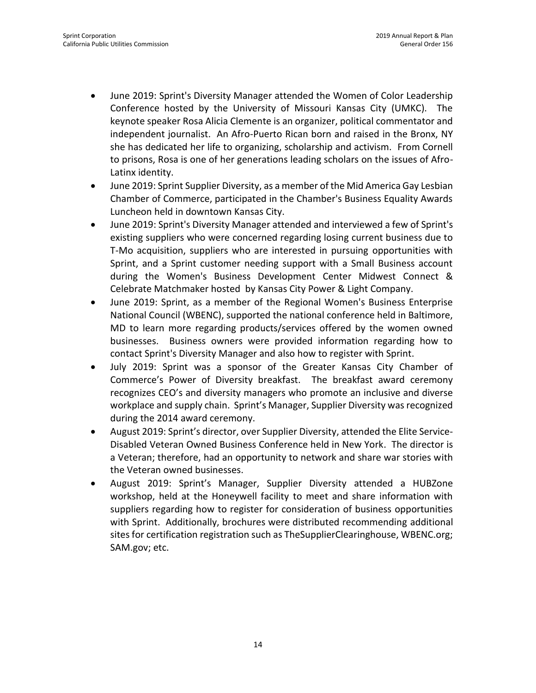- June 2019: Sprint's Diversity Manager attended the Women of Color Leadership Conference hosted by the University of Missouri Kansas City (UMKC). The keynote speaker Rosa Alicia Clemente is an organizer, political commentator and independent journalist. An Afro-Puerto Rican born and raised in the Bronx, NY she has dedicated her life to organizing, scholarship and activism. From Cornell to prisons, Rosa is one of her generations leading scholars on the issues of Afro-Latinx identity.
- June 2019: Sprint Supplier Diversity, as a member of the Mid America Gay Lesbian Chamber of Commerce, participated in the Chamber's Business Equality Awards Luncheon held in downtown Kansas City.
- June 2019: Sprint's Diversity Manager attended and interviewed a few of Sprint's existing suppliers who were concerned regarding losing current business due to T-Mo acquisition, suppliers who are interested in pursuing opportunities with Sprint, and a Sprint customer needing support with a Small Business account during the Women's Business Development Center Midwest Connect & Celebrate Matchmaker hosted by Kansas City Power & Light Company.
- June 2019: Sprint, as a member of the Regional Women's Business Enterprise National Council (WBENC), supported the national conference held in Baltimore, MD to learn more regarding products/services offered by the women owned businesses. Business owners were provided information regarding how to contact Sprint's Diversity Manager and also how to register with Sprint.
- July 2019: Sprint was a sponsor of the Greater Kansas City Chamber of Commerce's Power of Diversity breakfast. The breakfast award ceremony recognizes CEO's and diversity managers who promote an inclusive and diverse workplace and supply chain. Sprint's Manager, Supplier Diversity was recognized during the 2014 award ceremony.
- August 2019: Sprint's director, over Supplier Diversity, attended the Elite Service-Disabled Veteran Owned Business Conference held in New York. The director is a Veteran; therefore, had an opportunity to network and share war stories with the Veteran owned businesses.
- August 2019: Sprint's Manager, Supplier Diversity attended a HUBZone workshop, held at the Honeywell facility to meet and share information with suppliers regarding how to register for consideration of business opportunities with Sprint. Additionally, brochures were distributed recommending additional sites for certification registration such as TheSupplierClearinghouse, WBENC.org; SAM.gov; etc.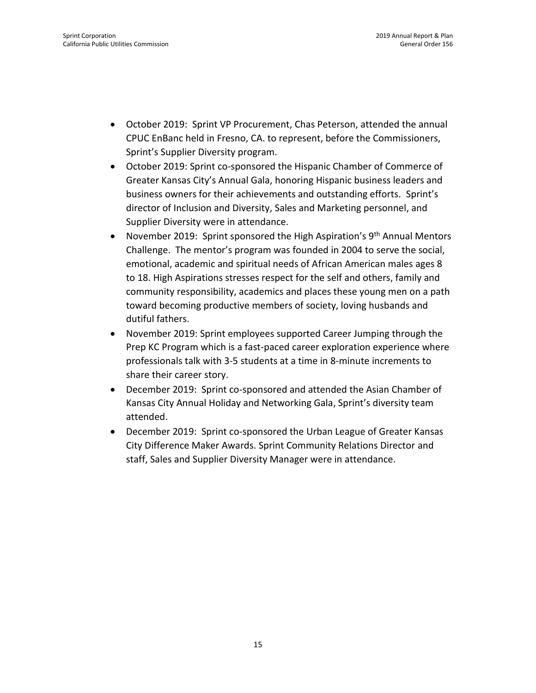- October 2019: Sprint VP Procurement, Chas Peterson, attended the annual CPUC EnBanc held in Fresno, CA. to represent, before the Commissioners, Sprint's Supplier Diversity program.
- October 2019: Sprint co-sponsored the Hispanic Chamber of Commerce of Greater Kansas City's Annual Gala, honoring Hispanic business leaders and business owners for their achievements and outstanding efforts. Sprint's director of Inclusion and Diversity, Sales and Marketing personnel, and Supplier Diversity were in attendance.
- November 2019: Sprint sponsored the High Aspiration's  $9<sup>th</sup>$  Annual Mentors Challenge. The mentor's program was founded in 2004 to serve the social, emotional, academic and spiritual needs of African American males ages 8 to 18. High Aspirations stresses respect for the self and others, family and community responsibility, academics and places these young men on a path toward becoming productive members of society, loving husbands and dutiful fathers.
- November 2019: Sprint employees supported Career Jumping through the Prep KC Program which is a fast-paced career exploration experience where professionals talk with 3-5 students at a time in 8-minute increments to share their career story.
- December 2019: Sprint co-sponsored and attended the Asian Chamber of Kansas City Annual Holiday and Networking Gala, Sprint's diversity team attended.
- December 2019: Sprint co-sponsored the Urban League of Greater Kansas City Difference Maker Awards. Sprint Community Relations Director and staff, Sales and Supplier Diversity Manager were in attendance.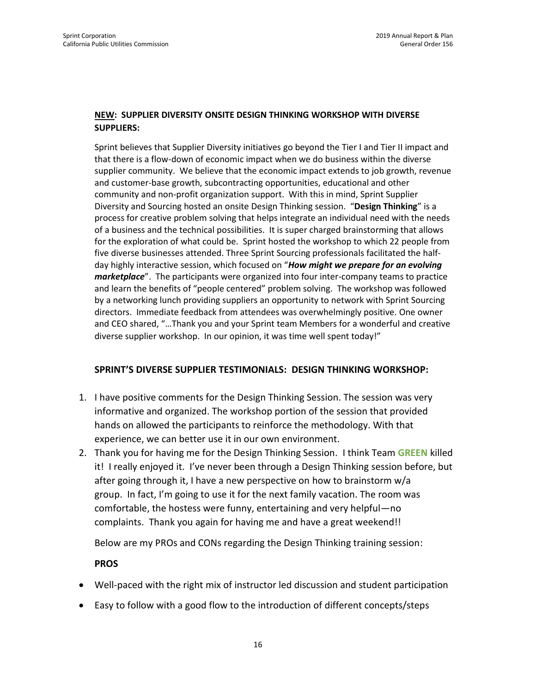#### **NEW: SUPPLIER DIVERSITY ONSITE DESIGN THINKING WORKSHOP WITH DIVERSE SUPPLIERS:**

Sprint believes that Supplier Diversity initiatives go beyond the Tier I and Tier II impact and that there is a flow-down of economic impact when we do business within the diverse supplier community. We believe that the economic impact extends to job growth, revenue and customer-base growth, subcontracting opportunities, educational and other community and non-profit organization support. With this in mind, Sprint Supplier Diversity and Sourcing hosted an onsite Design Thinking session. "**Design Thinking**" is a process for creative problem solving that helps integrate an individual need with the needs of a business and the technical possibilities. It is super charged brainstorming that allows for the exploration of what could be. Sprint hosted the workshop to which 22 people from five diverse businesses attended. Three Sprint Sourcing professionals facilitated the halfday highly interactive session, which focused on "*How might we prepare for an evolving marketplace*". The participants were organized into four inter-company teams to practice and learn the benefits of "people centered" problem solving. The workshop was followed by a networking lunch providing suppliers an opportunity to network with Sprint Sourcing directors. Immediate feedback from attendees was overwhelmingly positive. One owner and CEO shared, "…Thank you and your Sprint team Members for a wonderful and creative diverse supplier workshop. In our opinion, it was time well spent today!"

#### **SPRINT'S DIVERSE SUPPLIER TESTIMONIALS: DESIGN THINKING WORKSHOP:**

- 1. I have positive comments for the Design Thinking Session. The session was very informative and organized. The workshop portion of the session that provided hands on allowed the participants to reinforce the methodology. With that experience, we can better use it in our own environment.
- 2. Thank you for having me for the Design Thinking Session. I think Team **GREEN** killed it! I really enjoyed it. I've never been through a Design Thinking session before, but after going through it, I have a new perspective on how to brainstorm w/a group. In fact, I'm going to use it for the next family vacation. The room was comfortable, the hostess were funny, entertaining and very helpful—no complaints. Thank you again for having me and have a great weekend!!

Below are my PROs and CONs regarding the Design Thinking training session:

**PROS**

- Well-paced with the right mix of instructor led discussion and student participation
- Easy to follow with a good flow to the introduction of different concepts/steps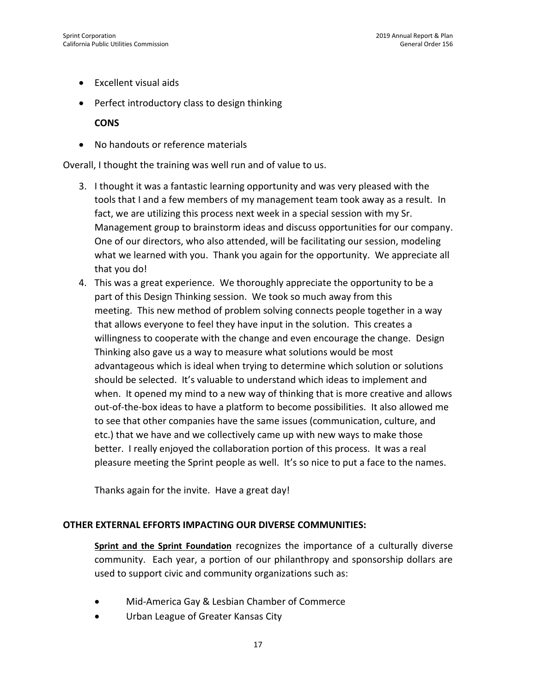- Excellent visual aids
- Perfect introductory class to design thinking

**CONS**

• No handouts or reference materials

Overall, I thought the training was well run and of value to us.

- 3. I thought it was a fantastic learning opportunity and was very pleased with the tools that I and a few members of my management team took away as a result. In fact, we are utilizing this process next week in a special session with my Sr. Management group to brainstorm ideas and discuss opportunities for our company. One of our directors, who also attended, will be facilitating our session, modeling what we learned with you. Thank you again for the opportunity. We appreciate all that you do!
- 4. This was a great experience. We thoroughly appreciate the opportunity to be a part of this Design Thinking session. We took so much away from this meeting. This new method of problem solving connects people together in a way that allows everyone to feel they have input in the solution. This creates a willingness to cooperate with the change and even encourage the change. Design Thinking also gave us a way to measure what solutions would be most advantageous which is ideal when trying to determine which solution or solutions should be selected. It's valuable to understand which ideas to implement and when. It opened my mind to a new way of thinking that is more creative and allows out-of-the-box ideas to have a platform to become possibilities. It also allowed me to see that other companies have the same issues (communication, culture, and etc.) that we have and we collectively came up with new ways to make those better. I really enjoyed the collaboration portion of this process. It was a real pleasure meeting the Sprint people as well. It's so nice to put a face to the names.

Thanks again for the invite. Have a great day!

#### **OTHER EXTERNAL EFFORTS IMPACTING OUR DIVERSE COMMUNITIES:**

**Sprint and the Sprint Foundation** recognizes the importance of a culturally diverse community. Each year, a portion of our philanthropy and sponsorship dollars are used to support civic and community organizations such as:

- Mid-America Gay & Lesbian Chamber of Commerce
- Urban League of Greater Kansas City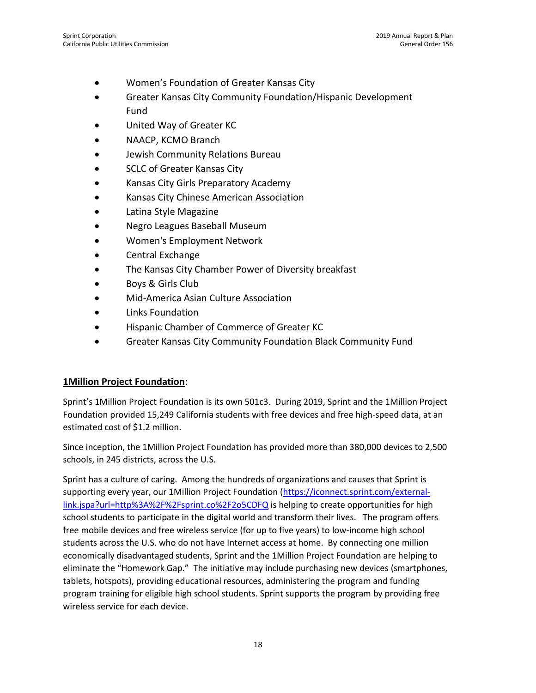- Women's Foundation of Greater Kansas City
- Greater Kansas City Community Foundation/Hispanic Development Fund
- United Way of Greater KC
- NAACP, KCMO Branch
- Jewish Community Relations Bureau
- SCLC of Greater Kansas City
- Kansas City Girls Preparatory Academy
- Kansas City Chinese American Association
- Latina Style Magazine
- Negro Leagues Baseball Museum
- Women's Employment Network
- Central Exchange
- The Kansas City Chamber Power of Diversity breakfast
- Boys & Girls Club
- Mid-America Asian Culture Association
- Links Foundation
- Hispanic Chamber of Commerce of Greater KC
- Greater Kansas City Community Foundation Black Community Fund

#### **1Million Project Foundation**:

Sprint's 1Million Project Foundation is its own 501c3. During 2019, Sprint and the 1Million Project Foundation provided 15,249 California students with free devices and free high-speed data, at an estimated cost of \$1.2 million.

Since inception, the 1Million Project Foundation has provided more than 380,000 devices to 2,500 schools, in 245 districts, across the U.S.

Sprint has a culture of caring. Among the hundreds of organizations and causes that Sprint is supporting every year, our 1Million Project Foundation [\(https://iconnect.sprint.com/external](https://iconnect.sprint.com/external-link.jspa?url=http%3A%2F%2Fsprint.co%2F2o5CDFQ)[link.jspa?url=http%3A%2F%2Fsprint.co%2F2o5CDFQ](https://iconnect.sprint.com/external-link.jspa?url=http%3A%2F%2Fsprint.co%2F2o5CDFQ) is helping to create opportunities for high school students to participate in the digital world and transform their lives. The program offers free mobile devices and free wireless service (for up to five years) to low-income high school students across the U.S. who do not have Internet access at home. By connecting one million economically disadvantaged students, Sprint and the 1Million Project Foundation are helping to eliminate the "Homework Gap." The initiative may include purchasing new devices (smartphones, tablets, hotspots), providing educational resources, administering the program and funding program training for eligible high school students. Sprint supports the program by providing free wireless service for each device.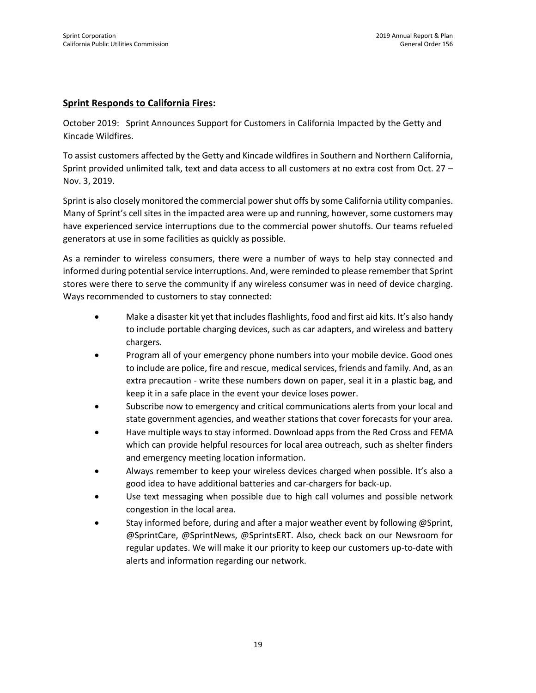#### **Sprint Responds to California Fires:**

October 2019: Sprint Announces Support for Customers in California Impacted by the Getty and Kincade Wildfires.

To assist customers affected by the Getty and Kincade wildfires in Southern and Northern California, Sprint provided unlimited talk, text and data access to all customers at no extra cost from Oct. 27 – Nov. 3, 2019.

Sprint is also closely monitored the commercial power shut offs by some California utility companies. Many of Sprint's cell sites in the impacted area were up and running, however, some customers may have experienced service interruptions due to the commercial power shutoffs. Our teams refueled generators at use in some facilities as quickly as possible.

As a reminder to wireless consumers, there were a number of ways to help stay connected and informed during potential service interruptions. And, were reminded to please remember that Sprint stores were there to serve the community if any wireless consumer was in need of device charging. Ways recommended to customers to stay connected:

- Make a disaster kit yet that includes flashlights, food and first aid kits. It's also handy to include portable charging devices, such as car adapters, and wireless and battery chargers.
- Program all of your emergency phone numbers into your mobile device. Good ones to include are police, fire and rescue, medical services, friends and family. And, as an extra precaution - write these numbers down on paper, seal it in a plastic bag, and keep it in a safe place in the event your device loses power.
- Subscribe now to emergency and critical communications alerts from your local and state government agencies, and weather stations that cover forecasts for your area.
- Have multiple ways to stay informed. Download apps from the Red Cross and FEMA which can provide helpful resources for local area outreach, such as shelter finders and emergency meeting location information.
- Always remember to keep your wireless devices charged when possible. It's also a good idea to have additional batteries and car-chargers for back-up.
- Use text messaging when possible due to high call volumes and possible network congestion in the local area.
- Stay informed before, during and after a major weather event by following @Sprint, @SprintCare, @SprintNews, @SprintsERT. Also, check back on our Newsroom for regular updates. We will make it our priority to keep our customers up-to-date with alerts and information regarding our network.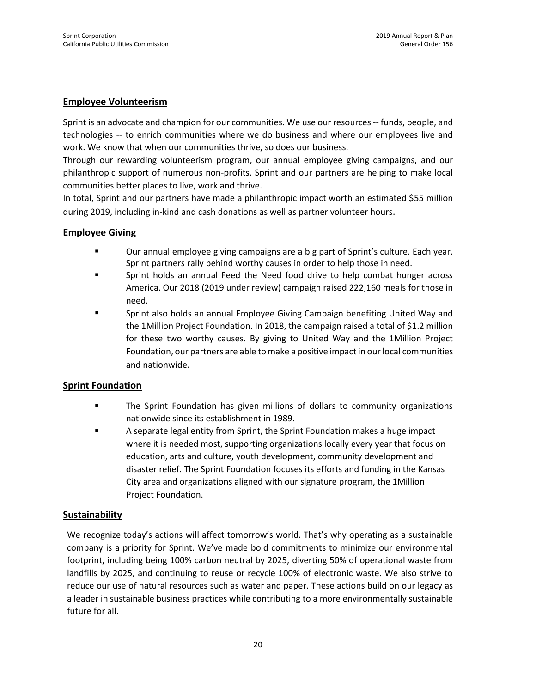#### **Employee Volunteerism**

Sprint is an advocate and champion for our communities. We use our resources -- funds, people, and technologies -- to enrich communities where we do business and where our employees live and work. We know that when our communities thrive, so does our business.

Through our rewarding volunteerism program, our annual employee giving campaigns, and our philanthropic support of numerous non-profits, Sprint and our partners are helping to make local communities better places to live, work and thrive.

In total, Sprint and our partners have made a philanthropic impact worth an estimated \$55 million during 2019, including in-kind and cash donations as well as partner volunteer hours.

#### **Employee Giving**

- Our annual employee giving campaigns are a big part of Sprint's culture. Each year, Sprint partners rally behind worthy causes in order to help those in need.
- **EXECUTE:** Sprint holds an annual Feed the Need food drive to help combat hunger across America. Our 2018 (2019 under review) campaign raised 222,160 meals for those in need.
- Sprint also holds an annual Employee Giving Campaign benefiting United Way and the 1Million Project Foundation. In 2018, the campaign raised a total of \$1.2 million for these two worthy causes. By giving to United Way and the 1Million Project Foundation, our partners are able to make a positive impact in our local communities and nationwide.

#### **Sprint Foundation**

- The Sprint Foundation has given millions of dollars to community organizations nationwide since its establishment in 1989.
- A separate legal entity from Sprint, the Sprint Foundation makes a huge impact where it is needed most, supporting organizations locally every year that focus on education, arts and culture, youth development, community development and disaster relief. The Sprint Foundation focuses its efforts and funding in the Kansas City area and organizations aligned with our signature program, the 1Million Project Foundation.

#### **Sustainability**

We recognize today's actions will affect tomorrow's world. That's why operating as a sustainable company is a priority for Sprint. We've made bold commitments to minimize our environmental footprint, including being 100% carbon neutral by 2025, diverting 50% of operational waste from landfills by 2025, and continuing to reuse or recycle 100% of electronic waste. We also strive to reduce our use of natural resources such as water and paper. These actions build on our legacy as a leader in sustainable business practices while contributing to a more environmentally sustainable future for all.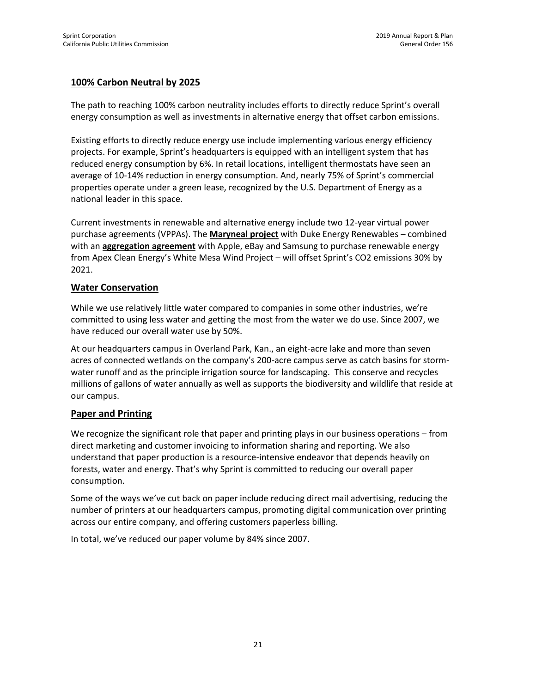### **100% Carbon Neutral by 2025**

The path to reaching 100% carbon neutrality includes efforts to directly reduce Sprint's overall energy consumption as well as investments in alternative energy that offset carbon emissions.

Existing efforts to directly reduce energy use include implementing various energy efficiency projects. For example, Sprint's headquarters is equipped with an intelligent system that has reduced energy consumption by 6%. In retail locations, intelligent thermostats have seen an average of 10-14% reduction in energy consumption. And, nearly 75% of Sprint's commercial properties operate under a green lease, recognized by the U.S. Department of Energy as a national leader in this space.

Current investments in renewable and alternative energy include two 12-year virtual power purchase agreements (VPPAs). The **[Maryneal project](https://newsroom.sprint.com/sprint-and-duke-energy-renewables-sign-agreement-on-new-182-mw-wind-power-project-in-texas.htm)** with Duke Energy Renewables – combined with an **[aggregation agreement](https://newsroom.sprint.com/sprint-apple-ebay-and-samsung-austin-semiconductor-accelerate-renewable-energy-development.htm)** with Apple, eBay and Samsung to purchase renewable energy from Apex Clean Energy's White Mesa Wind Project – will offset Sprint's CO2 emissions 30% by 2021.

#### **Water Conservation**

While we use relatively little water compared to companies in some other industries, we're committed to using less water and getting the most from the water we do use. Since 2007, we have reduced our overall water use by 50%.

At our headquarters campus in Overland Park, Kan., an eight-acre lake and more than seven acres of connected wetlands on the company's 200-acre campus serve as catch basins for stormwater runoff and as the principle irrigation source for landscaping. This conserve and recycles millions of gallons of water annually as well as supports the biodiversity and wildlife that reside at our campus.

#### **Paper and Printing**

We recognize the significant role that paper and printing plays in our business operations – from direct marketing and customer invoicing to information sharing and reporting. We also understand that paper production is a resource-intensive endeavor that depends heavily on forests, water and energy. That's why Sprint is committed to reducing our overall paper consumption.

Some of the ways we've cut back on paper include reducing direct mail advertising, reducing the number of printers at our headquarters campus, promoting digital communication over printing across our entire company, and offering customers paperless billing.

In total, we've reduced our paper volume by 84% since 2007.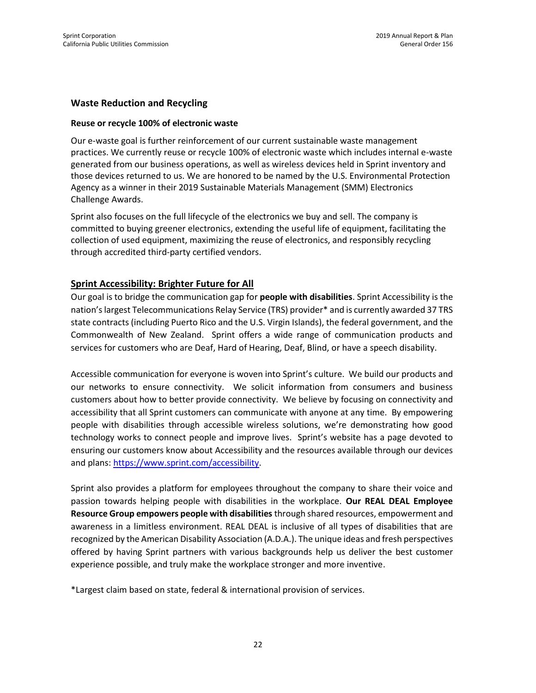#### **Waste Reduction and Recycling**

#### **Reuse or recycle 100% of electronic waste**

Our e-waste goal is further reinforcement of our current sustainable waste management practices. We currently reuse or recycle 100% of electronic waste which includes internal e-waste generated from our business operations, as well as wireless devices held in Sprint inventory and those devices returned to us. We are honored to be named by the U.S. Environmental Protection Agency as a winner in their 2019 Sustainable Materials Management (SMM) Electronics Challenge Awards.

Sprint also focuses on the full lifecycle of the electronics we buy and sell. The company is committed to buying greener electronics, extending the useful life of equipment, facilitating the collection of used equipment, maximizing the reuse of electronics, and responsibly recycling through accredited third-party certified vendors.

#### **Sprint Accessibility: Brighter Future for All**

Our goal is to bridge the communication gap for **people with disabilities**. Sprint Accessibility is the nation's largest Telecommunications Relay Service (TRS) provider\* and is currently awarded 37 TRS state contracts (including Puerto Rico and the U.S. Virgin Islands), the federal government, and the Commonwealth of New Zealand. Sprint offers a wide range of communication products and services for customers who are Deaf, Hard of Hearing, Deaf, Blind, or have a speech disability.

Accessible communication for everyone is woven into Sprint's culture. We build our products and our networks to ensure connectivity. We solicit information from consumers and business customers about how to better provide connectivity. We believe by focusing on connectivity and accessibility that all Sprint customers can communicate with anyone at any time. By empowering people with disabilities through accessible wireless solutions, we're demonstrating how good technology works to connect people and improve lives. Sprint's website has a page devoted to ensuring our customers know about Accessibility and the resources available through our devices and plans: [https://www.sprint.com/accessibility.](https://www.sprint.com/accessibility)

Sprint also provides a platform for employees throughout the company to share their voice and passion towards helping people with disabilities in the workplace. **Our REAL DEAL Employee Resource Group empowers people with disabilities** through shared resources, empowerment and awareness in a limitless environment. REAL DEAL is inclusive of all types of disabilities that are recognized by the American Disability Association (A.D.A.). The unique ideas and fresh perspectives offered by having Sprint partners with various backgrounds help us deliver the best customer experience possible, and truly make the workplace stronger and more inventive.

\*Largest claim based on state, federal & international provision of services.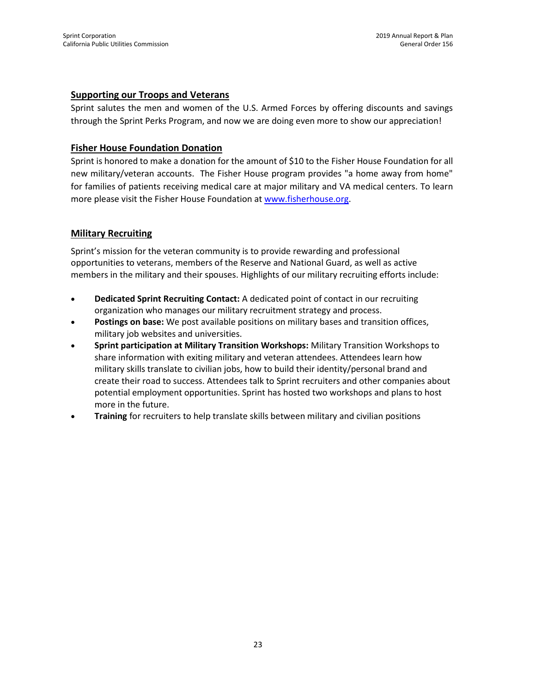#### **Supporting our Troops and Veterans**

Sprint salutes the men and women of the U.S. Armed Forces by offering discounts and savings through the Sprint Perks Program, and now we are doing even more to show our appreciation!

#### **Fisher House Foundation Donation**

Sprint is honored to make a donation for the amount of \$10 to the Fisher House Foundation for all new military/veteran accounts. The Fisher House program provides "a home away from home" for families of patients receiving medical care at major military and VA medical centers. To learn more please visit the Fisher House Foundation at [www.fisherhouse.org.](http://www.fisherhouse.org/)

#### **Military Recruiting**

Sprint's mission for the veteran community is to provide rewarding and professional opportunities to veterans, members of the Reserve and National Guard, as well as active members in the military and their spouses. Highlights of our military recruiting efforts include:

- **Dedicated Sprint Recruiting Contact:** A dedicated point of contact in our recruiting organization who manages our military recruitment strategy and process.
- **Postings on base:** We post available positions on military bases and transition offices, military job websites and universities.
- **Sprint participation at Military Transition Workshops:** Military Transition Workshops to share information with exiting military and veteran attendees. Attendees learn how military skills translate to civilian jobs, how to build their identity/personal brand and create their road to success. Attendees talk to Sprint recruiters and other companies about potential employment opportunities. Sprint has hosted two workshops and plans to host more in the future.
- **Training** for recruiters to help translate skills between military and civilian positions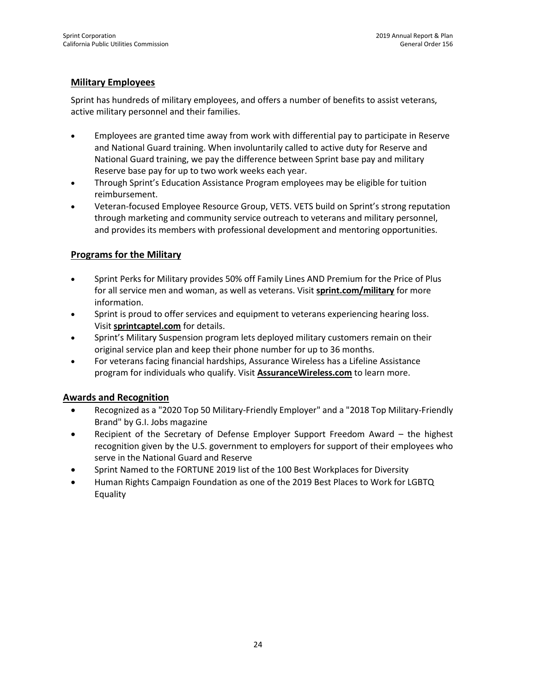### **Military Employees**

Sprint has hundreds of military employees, and offers a number of benefits to assist veterans, active military personnel and their families.

- Employees are granted time away from work with differential pay to participate in Reserve and National Guard training. When involuntarily called to active duty for Reserve and National Guard training, we pay the difference between Sprint base pay and military Reserve base pay for up to two work weeks each year.
- Through Sprint's Education Assistance Program employees may be eligible for tuition reimbursement.
- Veteran-focused Employee Resource Group, VETS. VETS build on Sprint's strong reputation through marketing and community service outreach to veterans and military personnel, and provides its members with professional development and mentoring opportunities.

### **Programs for the Military**

- Sprint Perks for Military provides 50% off Family Lines AND Premium for the Price of Plus for all service men and woman, as well as veterans. Visit **[sprint.com/military](https://sprint.com/military)** for more information.
- Sprint is proud to offer services and equipment to veterans experiencing hearing loss. Visit **[sprintcaptel.com](http://www.sprintcaptel.com/)** for details.
- Sprint's Military Suspension program lets deployed military customers remain on their original service plan and keep their phone number for up to 36 months.
- For veterans facing financial hardships, Assurance Wireless has a Lifeline Assistance program for individuals who qualify. Visit **[AssuranceWireless.com](http://www.assurancewireless.com/)** to learn more.

#### **Awards and Recognition**

- Recognized as a "2020 Top 50 Military-Friendly Employer" and a "2018 Top Military-Friendly Brand" by G.I. Jobs magazine
- Recipient of the Secretary of Defense Employer Support Freedom Award the highest recognition given by the U.S. government to employers for support of their employees who serve in the National Guard and Reserve
- Sprint Named to the FORTUNE 2019 list of the 100 Best Workplaces for Diversity
- Human Rights Campaign Foundation as one of the 2019 Best Places to Work for LGBTQ Equality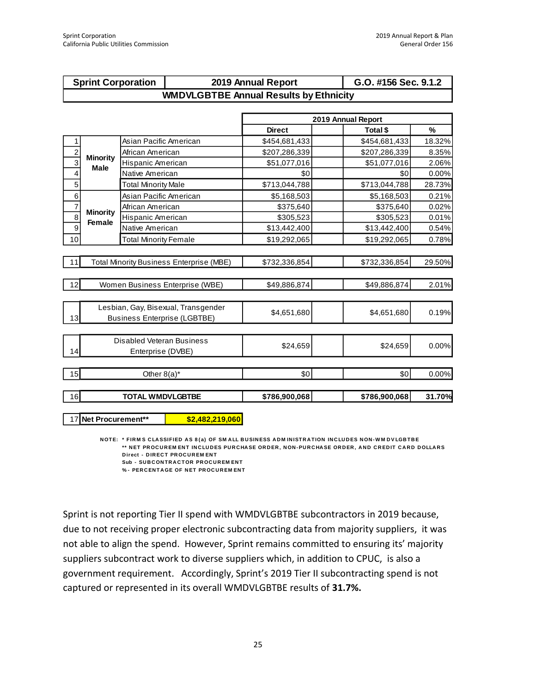| <b>Sprint Corporation</b> | 2019 Annual Report                            | G.O. #156 Sec. 9.1.2 |
|---------------------------|-----------------------------------------------|----------------------|
|                           | <b>WMDVLGBTBE Annual Results by Ethnicity</b> |                      |

|                |                                |                                                                            | 2019 Annual Report |               |          |  |  |  |  |
|----------------|--------------------------------|----------------------------------------------------------------------------|--------------------|---------------|----------|--|--|--|--|
|                |                                |                                                                            | <b>Direct</b>      | Total \$      | %        |  |  |  |  |
| 1              |                                | Asian Pacific American                                                     | \$454,681,433      | \$454,681,433 | 18.32%   |  |  |  |  |
| $\overline{c}$ |                                | African American                                                           | \$207,286,339      | \$207,286,339 | 8.35%    |  |  |  |  |
| 3              | <b>Minority</b><br><b>Male</b> | Hispanic American                                                          | \$51,077,016       | \$51,077,016  | 2.06%    |  |  |  |  |
| 4              |                                | Native American                                                            | \$0                | \$0           | $0.00\%$ |  |  |  |  |
| 5              |                                | <b>Total Minority Male</b>                                                 | \$713,044,788      | \$713,044,788 | 28.73%   |  |  |  |  |
| 6              |                                | Asian Pacific American                                                     | \$5,168,503        | \$5,168,503   | 0.21%    |  |  |  |  |
| 7              |                                | African American                                                           | \$375,640          | \$375,640     | 0.02%    |  |  |  |  |
| 8              | <b>Minority</b><br>Female      | Hispanic American                                                          | \$305,523          | \$305,523     | 0.01%    |  |  |  |  |
| 9              |                                | Native American                                                            | \$13,442,400       | \$13,442,400  | 0.54%    |  |  |  |  |
| 10             |                                | <b>Total Minority Female</b>                                               | \$19,292,065       | \$19,292,065  | 0.78%    |  |  |  |  |
|                |                                |                                                                            |                    |               |          |  |  |  |  |
| 11             |                                | <b>Total Minority Business Enterprise (MBE)</b>                            | \$732,336,854      | \$732,336,854 | 29.50%   |  |  |  |  |
| 12             |                                | Women Business Enterprise (WBE)                                            | \$49,886,874       | \$49,886,874  | 2.01%    |  |  |  |  |
|                |                                |                                                                            |                    |               |          |  |  |  |  |
| 13             |                                | Lesbian, Gay, Bisexual, Transgender<br><b>Business Enterprise (LGBTBE)</b> | \$4,651,680        | \$4,651,680   | 0.19%    |  |  |  |  |
|                |                                |                                                                            |                    |               |          |  |  |  |  |
| 14             |                                | Disabled Veteran Business<br>Enterprise (DVBE)                             | \$24,659           | \$24.659      | 0.00%    |  |  |  |  |
|                |                                |                                                                            |                    |               |          |  |  |  |  |
| 15             |                                | Other $8(a)^*$                                                             | \$0                | \$0           | 0.00%    |  |  |  |  |
| 16             |                                | <b>TOTAL WMDVLGBTBE</b>                                                    | \$786,900,068      | \$786,900,068 | 31.70%   |  |  |  |  |

1 7 **Net Procurement\*\* \$2,482,219,060**

**NOTE:** \* FIRM S CLASSIFIED AS 8(a) OF SMALL BUSINESS ADMINISTRATION INCLUDES NON-WMDVLGBTBE \*\* NET PROCUREMENT INCLUDES PURCHASE ORDER, NON-PURCHASE ORDER, AND CREDIT CARD DOLLARS **Direct - DIRECT PROCUREMENT Sub - SUBCONTRACTOR PROCUREMENT** 

**% - PER C EN TA GE OF N ET PR OC U R EM EN T**

Sprint is not reporting Tier II spend with WMDVLGBTBE subcontractors in 2019 because, due to not receiving proper electronic subcontracting data from majority suppliers, it was not able to align the spend. However, Sprint remains committed to ensuring its' majority suppliers subcontract work to diverse suppliers which, in addition to CPUC, is also a government requirement. Accordingly, Sprint's 2019 Tier II subcontracting spend is not captured or represented in its overall WMDVLGBTBE results of **31.7%.**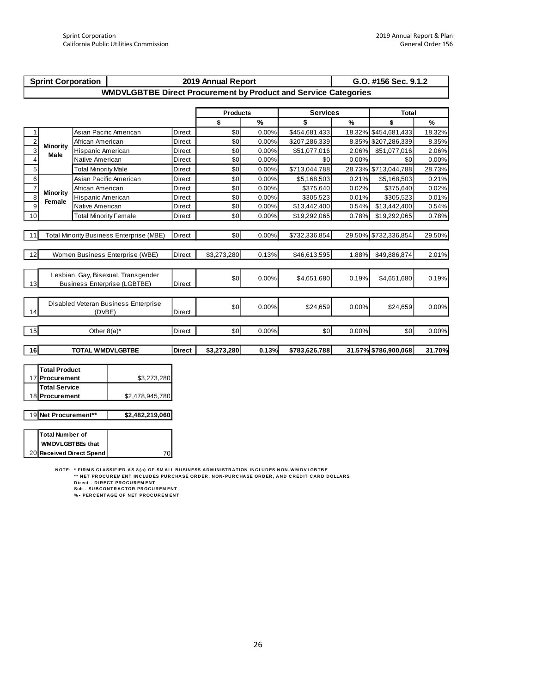| <b>Sprint Corporation</b> |                                                 |                              |                                                                        |                 | 2019 Annual Report |               |                 | G.O. #156 Sec. 9.1.2 |                      |        |  |
|---------------------------|-------------------------------------------------|------------------------------|------------------------------------------------------------------------|-----------------|--------------------|---------------|-----------------|----------------------|----------------------|--------|--|
|                           |                                                 |                              | <b>WMDVLGBTBE Direct Procurement by Product and Service Categories</b> |                 |                    |               |                 |                      |                      |        |  |
|                           |                                                 |                              |                                                                        |                 |                    |               |                 |                      |                      |        |  |
|                           |                                                 |                              |                                                                        | <b>Products</b> |                    |               | <b>Services</b> |                      | <b>Total</b>         |        |  |
|                           |                                                 |                              |                                                                        |                 | \$                 | $\frac{9}{6}$ | \$              | $\%$                 | \$                   | $\%$   |  |
| $\mathbf{1}$              |                                                 |                              | Asian Pacific American                                                 | <b>Direct</b>   | \$0                | 0.00%         | \$454,681,433   | 18.32%               | \$454,681,433        | 18.32% |  |
| $\mathbf 2$               | <b>Minority</b>                                 | African American             |                                                                        | Direct          | \$0                | 0.00%         | \$207,286,339   |                      | 8.35% \$207,286,339  | 8.35%  |  |
| $\overline{3}$            | Male                                            | Hispanic American            |                                                                        | Direct          | \$0                | 0.00%         | \$51,077,016    | 2.06%                | \$51,077,016         | 2.06%  |  |
| $\overline{4}$            |                                                 | Native American              |                                                                        | Direct          | \$0                | 0.00%         | \$0             | 0.00%                | \$0                  | 0.00%  |  |
| 5                         |                                                 | <b>Total Minority Male</b>   |                                                                        | Direct          | \$0                | 0.00%         | \$713,044,788   |                      | 28.73% \$713,044,788 | 28.73% |  |
| 6                         |                                                 | Asian Pacific American       |                                                                        | Direct          | \$0                | 0.00%         | \$5,168,503     | 0.21%                | \$5,168,503          | 0.21%  |  |
| $\overline{7}$            | <b>Minority</b>                                 | African American             |                                                                        | <b>Direct</b>   | \$0                | 0.00%         | \$375,640       | 0.02%                | \$375,640            | 0.02%  |  |
| $\overline{8}$            | Female                                          | Hispanic American            |                                                                        | Direct          | \$0                | 0.00%         | \$305,523       | 0.01%                | \$305,523            | 0.01%  |  |
| $\overline{9}$            |                                                 | Native American              |                                                                        | <b>Direct</b>   | \$0                | 0.00%         | \$13,442,400    | 0.54%                | \$13,442,400         | 0.54%  |  |
| 10                        |                                                 | <b>Total Minority Female</b> |                                                                        | Direct          | \$0                | 0.00%         | \$19,292,065    | 0.78%                | \$19,292,065         | 0.78%  |  |
|                           |                                                 |                              |                                                                        |                 |                    |               |                 |                      |                      |        |  |
| 11                        | <b>Total Minority Business Enterprise (MBE)</b> |                              |                                                                        |                 | \$0                | 0.00%         | \$732,336,854   |                      | 29.50% \$732,336,854 | 29.50% |  |
|                           |                                                 |                              |                                                                        |                 |                    |               |                 |                      |                      |        |  |
| 12                        |                                                 |                              | Women Business Enterprise (WBE)                                        | Direct          | \$3,273,280        | 0.13%         | \$46,613,595    | 1.88%                | \$49,886,874         | 2.01%  |  |
|                           |                                                 |                              |                                                                        |                 |                    |               |                 |                      |                      |        |  |
|                           |                                                 |                              | Lesbian, Gay, Bisexual, Transgender                                    |                 | \$0                | 0.00%         | \$4,651,680     | 0.19%                | \$4,651,680          | 0.19%  |  |
| 13                        |                                                 |                              | <b>Business Enterprise (LGBTBE)</b>                                    | <b>Direct</b>   |                    |               |                 |                      |                      |        |  |
|                           |                                                 |                              |                                                                        |                 |                    |               |                 |                      |                      |        |  |
|                           |                                                 |                              | Disabled Veteran Business Enterprise                                   |                 | \$0                | 0.00%         | \$24,659        | 0.00%                |                      |        |  |
| 14                        |                                                 | (DVBE)                       |                                                                        | <b>Direct</b>   |                    |               |                 |                      | \$24,659             | 0.00%  |  |
|                           |                                                 |                              |                                                                        |                 |                    |               |                 |                      |                      |        |  |
| 15                        |                                                 | Other $8(a)^*$               |                                                                        | <b>Direct</b>   | \$0                | 0.00%         | \$0             | 0.00%                | \$0                  | 0.00%  |  |
|                           |                                                 |                              |                                                                        |                 |                    |               |                 |                      |                      |        |  |
| 16                        |                                                 | <b>TOTAL WMDVLGBTBE</b>      |                                                                        | <b>Direct</b>   | \$3,273,280        | 0.13%         | \$783,626,788   |                      | 31.57% \$786,900,068 | 31.70% |  |
|                           |                                                 |                              |                                                                        |                 |                    |               |                 |                      |                      |        |  |
|                           | <b>Total Product</b>                            |                              |                                                                        |                 |                    |               |                 |                      |                      |        |  |
|                           | 17 Procurement                                  |                              | \$3,273,280                                                            |                 |                    |               |                 |                      |                      |        |  |
|                           | <b>Total Service</b>                            |                              |                                                                        |                 |                    |               |                 |                      |                      |        |  |
|                           | 18 Procurement                                  |                              | \$2,478,945,780                                                        |                 |                    |               |                 |                      |                      |        |  |
|                           |                                                 |                              |                                                                        |                 |                    |               |                 |                      |                      |        |  |
|                           | 19 Net Procurement**                            |                              | \$2,482,219,060                                                        |                 |                    |               |                 |                      |                      |        |  |
|                           |                                                 |                              |                                                                        |                 |                    |               |                 |                      |                      |        |  |

20 **Total Number of**  70  **WMDVLGBTBEs that Received Direct Spend**

NOTE: \* FIRMS CLASSIFIED AS 8(a) OF SMALL BUSINESS ADMINISTRATION INCLUDES NON-WMDVLGBTBE<br>\*\* NET PROCUREMENT INCLUDES PURCHASE ORDER, NON-PURCHASE ORDER, AND CREDIT CARD DOLLARS \*\*\*

Direct - DIRECT PROCUREMENT<br>Sub - SUBCONTRACTOR PROCUREMENT<br>% - PERCENTAGE OF NET PROCUREMENT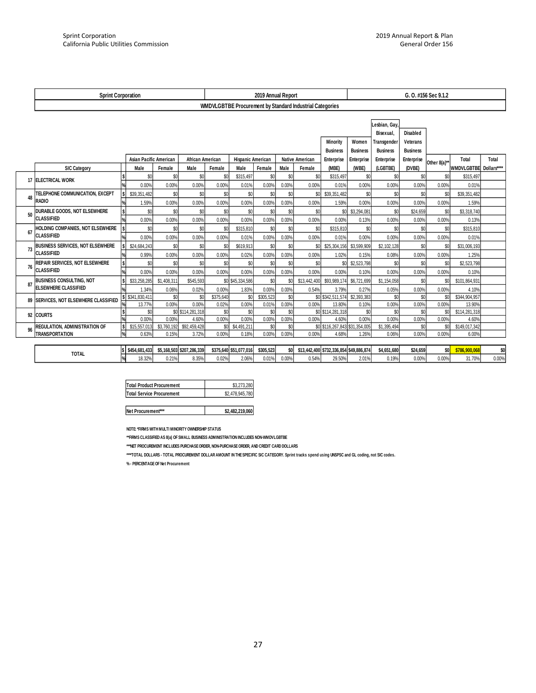|    | <b>Sprint Corporation</b>                              |               |                               |                      |                           |                           |                          | 2019 Annual Report |              |                                                          | G. O. #156 Sec 9.1.2                    |                 |                      |                 |              |                               |       |
|----|--------------------------------------------------------|---------------|-------------------------------|----------------------|---------------------------|---------------------------|--------------------------|--------------------|--------------|----------------------------------------------------------|-----------------------------------------|-----------------|----------------------|-----------------|--------------|-------------------------------|-------|
|    |                                                        |               |                               |                      |                           |                           |                          |                    |              | WMDVLGBTBE Procurement by Standard Industrial Categories |                                         |                 |                      |                 |              |                               |       |
|    |                                                        |               |                               |                      |                           |                           |                          |                    |              |                                                          |                                         |                 | Lesbian, Gay.        |                 |              |                               |       |
|    |                                                        |               |                               |                      |                           |                           |                          |                    |              |                                                          |                                         |                 | Bisexual.            | Disabled        |              |                               |       |
|    |                                                        |               |                               |                      |                           |                           |                          |                    |              |                                                          | <b>Minority</b>                         | Women           | Transgender          | Veterans        |              |                               |       |
|    |                                                        |               |                               |                      |                           |                           |                          |                    |              |                                                          | <b>Business</b>                         | <b>Business</b> | <b>Business</b>      | <b>Business</b> |              |                               |       |
|    |                                                        |               | <b>Asian Pacific American</b> |                      | African American          |                           | <b>Hispanic American</b> |                    |              | <b>Native American</b>                                   | Enterprise                              | Enterprise      | Enterprise           | Enterprise      | Other 8(a)** | Total                         | Total |
|    | <b>SIC Category</b>                                    |               | Male                          | Female               | Male                      | Female                    | Male                     | Female             | Male         | Female                                                   | (MBE)                                   | (WBE)           | (LGBTBE)             | (DVBE)          |              | <b>WMDVLGBTBE</b> Dollars**** |       |
|    | 17 ELECTRICAL WORK                                     | \$            | \$0                           | \$0                  | \$0                       | \$C                       | \$315,497                | \$0                | \$0          | \$0                                                      | \$315,497                               | \$0             | \$0                  | \$0             | \$0          | \$315,497                     |       |
|    |                                                        |               | 0.00%                         | 0.00%                | 0.00%                     | 0.00%                     | 0.01%                    | 0.00%              | 0.00%        | 0.00%                                                    | 0.01%                                   | 0.00%           | 0.00%                | 0.00%           | 0.00%        | 0.01%                         |       |
| 48 | TELEPHONE COMMUNICATION, EXCEPT                        |               | \$39,351,482                  | \$0                  | \$0                       | \$0                       | \$0                      | \$0                | \$0          | \$0                                                      | \$39,351,482                            | \$0             | \$0                  | \$0             | \$0          | \$39,351,482                  |       |
|    | <b>RADIO</b>                                           |               | 1.59%                         | 0.00%                | 0.00%                     | 0.00%                     | 0.00%                    | 0.00%              | 0.00%        | 0.00%                                                    | 1.59%                                   | 0.00%           | 0.00%                | 0.00%           | 0.00%        | 1.59%                         |       |
| 50 | DURABLE GOODS, NOT ELSEWHERE                           | \$            | \$0                           | \$0                  | \$0                       | \$0                       | \$0                      | \$0                | \$0          | \$0                                                      | \$ <sub>C</sub>                         | \$3,294,081     | \$0                  | \$24,659        | \$0          | \$3,318,740                   |       |
|    | <b>CLASSIFIED</b>                                      |               | 0.00%                         | 0.00%                | 0.00%                     | 0.00%                     | 0.00%                    | 0.00%              | 0.00%        | 0.00%                                                    | 0.00%                                   | 0.13%           | 0.00%                | 0.00%           | 0.00%        | 0.13%                         |       |
| 67 | HOLDING COMPANIES, NOT ELSEWHERE                       | $\mathsf{s}$  | \$0                           | \$0                  | \$0                       | \$0                       | \$315,810                | \$0                | \$0          | \$0                                                      | \$315,810                               | \$0             | \$0                  | \$0             | \$0          | \$315,810                     |       |
|    | <b>CLASSIFIED</b>                                      |               | 0.00%                         | 0.00%                | 0.00%                     | 0.00%                     | 0.01%                    | 0.00%              | 0.00%        | 0.00%                                                    | 0.01%                                   | 0.00%           | 0.00%                | 0.00%           | 0.00%        | 0.01%                         |       |
| 73 | <b>BUSINESS SERVICES, NOT ELSEWHERE</b>                | <sup>\$</sup> | \$24,684,243                  | \$0                  | \$0                       | \$C                       | \$619,913                | \$0                | \$0          | \$0                                                      | \$25,304,156                            | \$3,599,909     | \$2,102,128          | \$0             | \$0          | \$31.006.193                  |       |
|    | <b>CLASSIFIED</b>                                      |               | 0.99%                         | 0.00%                | 0.00%                     | 0.00%                     | 0.02%                    | 0.00%              | 0.00%        | 0.00%                                                    | 1.02%                                   | 0.15%           | 0.08%                | 0.00%           | 0.00%        | 1.25%                         |       |
|    | REPAIR SERVICES, NOT ELSEWHERE                         | \$            | \$0                           | \$0                  | \$0                       | \$0                       | \$0                      | \$0                | \$0          | \$0                                                      | \$0                                     | \$2,523,798     | \$0                  | \$0             | \$0          | \$2,523,798                   |       |
| 76 | <b>CLASSIFIED</b>                                      |               | 0.00%                         | 0.00%                | 0.00%                     | 0.00%                     | 0.00%                    | 0.00%              | 0.00%        | 0.00%                                                    | 0.00%                                   | 0.10%           | 0.00%                | 0.00%           | 0.00%        | 0.10%                         |       |
| 87 | <b>BUSINESS CONSULTING, NOT</b>                        |               | \$33,258,285                  | \$1,408,311          | \$545,593                 |                           | \$0 \$45,334,586         | \$0                | \$0          | \$13,442,400                                             | \$93,989,174                            | \$6,721,699     | \$1.154.058          | \$0             | \$0          | \$101,864,931                 |       |
|    | <b>ELSEWHERE CLASSIFIED</b>                            |               | 1.34%                         | 0.06%                | 0.02%                     | 0.00%                     | 1.83%                    | 0.00%              | 0.00%        | 0.54%                                                    | 3.79%                                   | 0.27%           | 0.05%                | 0.00%           | 0.00%        | 4.10%                         |       |
| 89 | <b>SERVICES, NOT ELSEWHERE CLASSIFIED</b>              |               | \$ \$341,830,411              | \$0                  | \$0                       | \$375,640                 | \$0                      | \$305,523          | \$0          |                                                          | \$0 \$342,511,574                       | \$2,393,383     | \$0                  | \$0             | \$0          | \$344,904,957                 |       |
|    |                                                        |               | 13.77%                        | 0.00%                | 0.00%                     | 0.02%                     | 0.00%                    | 0.01%              | 0.00%        | 0.00%                                                    | 13.80%                                  | 0.10%           | 0.00%                | 0.00%           | 0.00%        | 13.90%                        |       |
| 92 | <b>COURTS</b>                                          | \$            | \$0                           |                      | \$0 \$114,281,318         | \$0                       | \$0                      | \$0                | \$0          |                                                          | \$0 \$114,281,318                       | \$0             | \$0                  | \$0             | \$0          | \$114,281,318                 |       |
|    |                                                        |               | 0.00%                         | 0.00%                | 4.60%                     | 0.00%                     | 0.00%                    | 0.00%              | 0.00%        | 0.00%                                                    | 4.60%                                   | 0.00%           | 0.00%                | 0.00%           | 0.00%        | 4.60%                         |       |
| 96 | REGULATION, ADMINISTRATION OF<br><b>TRANSPORTATION</b> | $\frac{1}{6}$ | \$15,557,013<br>0.63%         | \$3,760,192<br>0.15% | \$92,459,428<br>3.72%     | \$0 <sub>1</sub><br>0.00% | \$4,491,211<br>0.18%     | \$0<br>0.00%       | \$0<br>0.00% | 0.00%                                                    | \$0 \$116,267,843 \$31,354,005<br>4.68% | 1.26%           | \$1,395,494<br>0.06% | \$0<br>0.00%    | \$0<br>0.00% | \$149,017,342<br>6.00%        |       |
|    |                                                        |               |                               |                      |                           |                           |                          |                    |              |                                                          |                                         |                 |                      |                 |              |                               |       |
|    |                                                        |               | \$454,681,433                 |                      | \$5,168,503 \$207,286,339 |                           | \$375,640 \$51,077,016   | \$305,523          | \$0          |                                                          | \$13,442,400 \$732,336,854 \$49,886,874 |                 | \$4,651,680          | \$24,659        | \$O          | \$786,900,068                 | \$0   |
|    | <b>TOTAL</b>                                           |               | 18.32%                        | 0.21%                | 8.35%                     | 0.02%                     | 2.06%                    | 0.01%              | 0.00%        | 0.54%                                                    | 29.50%                                  | 2.01%           | 0.19%                | 0.00%           | 0.00%        | 31.70%                        | 0.00% |

| <b>Total Product Procurement</b> | \$3.273.280     |
|----------------------------------|-----------------|
| Total Service Procurement        | \$2,478,945,780 |
|                                  |                 |

| Net Procurement*** | \$2,482,219,060 |
|--------------------|-----------------|
|                    |                 |

**NOTE: \*FIRMS WITH MULTI MINORITY OWNERSHIP STATUS**

**\*\*FIRMS CLASSIFIED AS 8(a) OF SMALL BUSINESS ADMINISTRATION INCLUDES NON-WMDVLGBTBE**

**\*\*\*NET PROCUREMENT INCLUDES PURCHASE ORDER, NON-PURCHASE ORDER, AND CREDIT CARD DOLLARS**

**\*\*\*\*TOTAL DOLLARS - TOTAL PROCUREMENT DOLLAR AMOUNT IN THE SPECIFIC SIC CATEGORY. Sprint tracks spend using UNSPSC and GL coding, not SIC codes.**

**% - PERCENTAGE OF Net Procurement**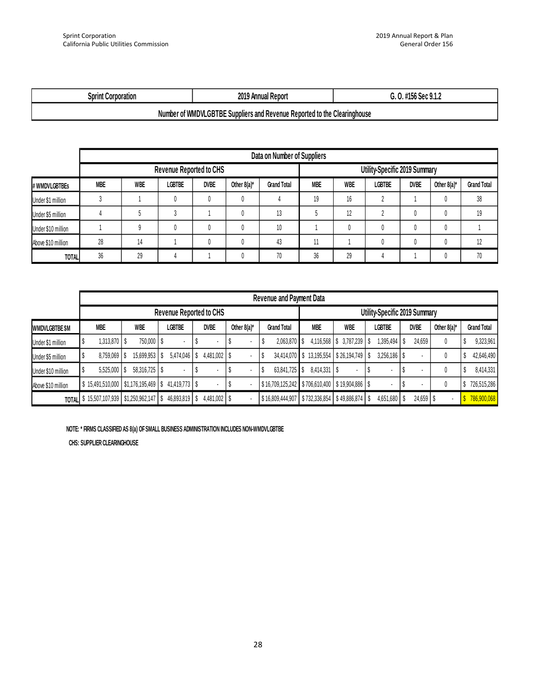| <b>2010</b><br>.<br>ioration<br>nuar<br>∼nrını …<br>.n<br><br>.<br>ו הו<br>nrn<br>.<br><br>. . |
|------------------------------------------------------------------------------------------------|
|------------------------------------------------------------------------------------------------|

#### **Number of WMDVLGBTBE Suppliers and Revenue Reported to the Clearinghouse**

|                    |                                                                                                  |    |                                |  |  | Data on Number of Suppliers |            |            |                               |             |                |                    |
|--------------------|--------------------------------------------------------------------------------------------------|----|--------------------------------|--|--|-----------------------------|------------|------------|-------------------------------|-------------|----------------|--------------------|
|                    |                                                                                                  |    | <b>Revenue Reported to CHS</b> |  |  |                             |            |            | Utility-Specific 2019 Summary |             |                |                    |
| # WMDVLGBTBEs      | <b>WBE</b><br><b>DVBE</b><br><b>LGBTBE</b><br>Other $8(a)^*$<br><b>MBE</b><br><b>Grand Total</b> |    |                                |  |  |                             | <b>MBE</b> | <b>WBE</b> | <b>LGBTBE</b>                 | <b>DVBE</b> | Other $8(a)^*$ | <b>Grand Total</b> |
| Under \$1 million  |                                                                                                  |    |                                |  |  |                             | 19         | 16         |                               |             |                | 38                 |
| Under \$5 million  |                                                                                                  |    |                                |  |  | 13                          |            | 12         |                               |             |                | 19                 |
| Under \$10 million |                                                                                                  |    |                                |  |  | 10                          |            |            |                               |             |                |                    |
| Above \$10 million | 28                                                                                               | 14 |                                |  |  | 43                          |            |            |                               |             |                | 12                 |
| <b>TOTAL</b>       | 36                                                                                               | 29 |                                |  |  | 70                          | 36         | 29         |                               |             |                | 70                 |

| # WMDVLGBTBEs      | MBE                                                                | WBE                                                                                  | LGBTBE                                  | <b>DVBE</b>  | Other $8(a)^*$ | <b>Grand Total</b>                             | MBE                                       | WBE                      | LGBTBE         | DVBE                | Other $8(a)^*$ | <b>Grand Total</b> |  |  |
|--------------------|--------------------------------------------------------------------|--------------------------------------------------------------------------------------|-----------------------------------------|--------------|----------------|------------------------------------------------|-------------------------------------------|--------------------------|----------------|---------------------|----------------|--------------------|--|--|
| Under \$1 million  | $\sqrt{3}$                                                         | $\mathbf{1}$                                                                         | $\pmb{0}$                               | 0            | 0              | 4                                              | 19                                        | $16\,$                   | $\overline{2}$ | $\mathbf{1}$        | 0              | 38                 |  |  |
| Under \$5 million  | $\sqrt{4}$                                                         | 5                                                                                    | $\mathfrak z$                           | $\mathbf{1}$ | $\pmb{0}$      | 13                                             | $5\,$                                     | 12                       | $\overline{2}$ | $\pmb{0}$           | $\pmb{0}$      | 19                 |  |  |
| Under \$10 million | $\mathbf{1}$                                                       | $\mathsf g$                                                                          | $\pmb{0}$                               | 0            | 0              | $10\,$                                         | $\mathbf{1}$                              | 0                        | 0              | 0                   | 0              | $\mathbf{1}$       |  |  |
| Above \$10 million | $28\,$                                                             | 14                                                                                   | 1                                       | $\pmb{0}$    | $\mathbb{0}$   | $43\,$                                         | 11                                        | 1                        | $\pmb{0}$      | 0                   | 0              | 12                 |  |  |
| <b>TOTAL</b>       | $36\,$                                                             | $29\,$                                                                               | $\overline{4}$                          | $\mathbf 1$  | $\mathbb O$    | $70\,$                                         | $36\,$                                    | $29\,$                   | $\sqrt{4}$     | $\mathbf{1}$        | $\pmb{0}$      | $70\,$             |  |  |
|                    |                                                                    |                                                                                      |                                         |              |                |                                                |                                           |                          |                |                     |                |                    |  |  |
|                    |                                                                    | Revenue and Payment Data<br>Revenue Reported to CHS<br>Utility-Specific 2019 Summary |                                         |              |                |                                                |                                           |                          |                |                     |                |                    |  |  |
|                    |                                                                    |                                                                                      |                                         |              |                |                                                |                                           |                          |                |                     |                |                    |  |  |
| WMDVLGBTBE \$M     | <b>MBE</b>                                                         | <b>WBE</b>                                                                           | <b>LGBTBE</b>                           | <b>DVBE</b>  | Other $8(a)^*$ | <b>Grand Total</b>                             | <b>MBE</b>                                | <b>WBE</b>               | <b>LGBTBE</b>  | <b>DVBE</b>         | Other $8(a)^*$ | <b>Grand Total</b> |  |  |
| Under \$1 million  | $\pmb{\mathcal{S}}$<br>1,313,870 \$                                | 750,000 \$                                                                           |                                         | \$           | \$<br>¥,       | 2,063,870 \$<br>\$                             |                                           | 4,116,568 \$3,787,239 \$ | 1,395,494      | \$<br>24,659        | 0              | \$<br>9,323,961    |  |  |
| Under \$5 million  | $\pmb{\mathcal{S}}$<br>8,759,069 \$                                |                                                                                      | 15,699,953 \$ 5,474,046 \$ 4,481,002 \$ |              | ä,             | \$                                             | 34,414,070 \$ 13,195,554 \$ 26,194,749 \$ |                          | 3,256,186 \$   |                     | $\pmb{0}$      | \$<br>42,646,490   |  |  |
| Under \$10 million | \$<br>5,525,000 \$                                                 | 58,316,725 \$                                                                        |                                         | \$           | \$<br>¥,       | 63,841,725 \$<br>\$                            | 8,414,331 \$                              |                          | $\sqrt[6]{3}$  | \$<br>÷,            | $\pmb{0}$      | \$<br>8,414,331    |  |  |
| Above \$10 million | $$15,491,510,000$ $$1,176,195,469$ $$41,419,773$ $$$               |                                                                                      |                                         |              | \$<br>÷        | \$16,709,125,242 \$706,610,400 \$19,904,886 \$ |                                           |                          | ٠              | $\sqrt[6]{3}$<br>ä, | $\pmb{0}$      | \$726,515,286      |  |  |
|                    | TOTAL \$15,507,107,939 \$1,250,962,147 \$46,893,819 \$4,481,002 \$ |                                                                                      |                                         |              |                | \$16,809,444,907 \$732,336,854 \$49,886,874 \$ |                                           |                          | 4,651,680 \$   | 24,659 \$           |                | \$786,900,068      |  |  |
|                    | CHS: SUPPLIER CLEARINGHOUSE                                        |                                                                                      |                                         |              |                |                                                |                                           |                          |                |                     |                |                    |  |  |
|                    |                                                                    |                                                                                      |                                         |              |                |                                                |                                           |                          |                |                     |                |                    |  |  |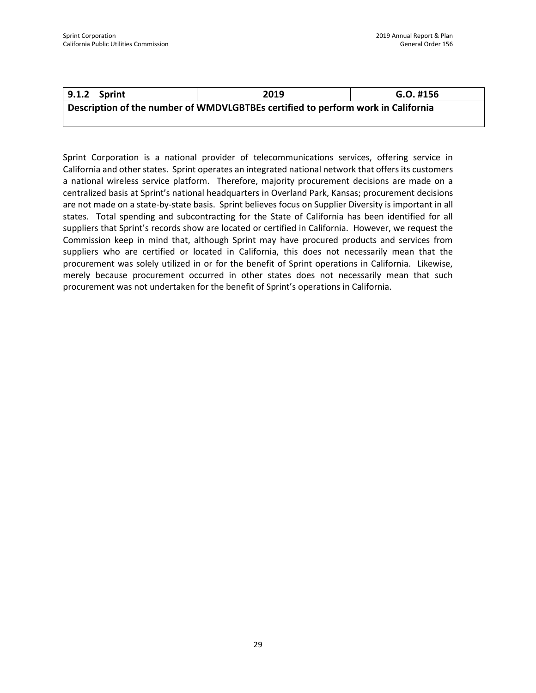| 9.1.2 Sprint                                                                     | 2019 | G.O. #156 |  |  |  |
|----------------------------------------------------------------------------------|------|-----------|--|--|--|
| Description of the number of WMDVLGBTBEs certified to perform work in California |      |           |  |  |  |

Sprint Corporation is a national provider of telecommunications services, offering service in California and other states. Sprint operates an integrated national network that offers its customers a national wireless service platform. Therefore, majority procurement decisions are made on a centralized basis at Sprint's national headquarters in Overland Park, Kansas; procurement decisions are not made on a state-by-state basis. Sprint believes focus on Supplier Diversity is important in all states. Total spending and subcontracting for the State of California has been identified for all suppliers that Sprint's records show are located or certified in California. However, we request the Commission keep in mind that, although Sprint may have procured products and services from suppliers who are certified or located in California, this does not necessarily mean that the procurement was solely utilized in or for the benefit of Sprint operations in California. Likewise, merely because procurement occurred in other states does not necessarily mean that such procurement was not undertaken for the benefit of Sprint's operations in California.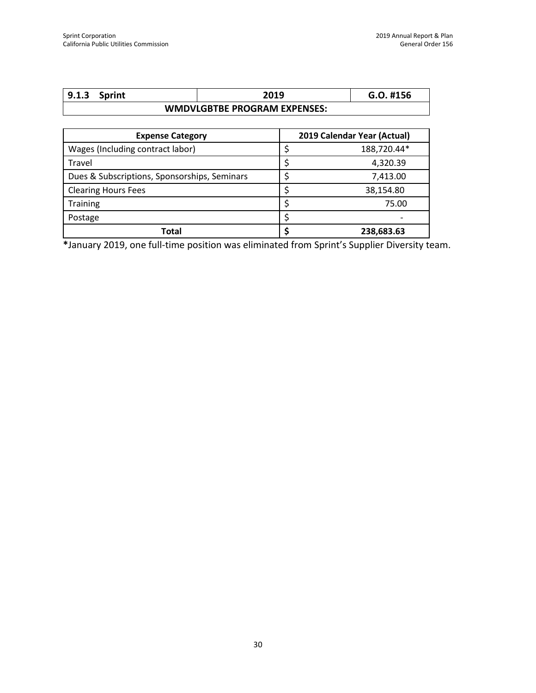| 9.1.3                               | Sprint |  | 2019 | G.O. #156 |
|-------------------------------------|--------|--|------|-----------|
| <b>WMDVLGBTBE PROGRAM EXPENSES:</b> |        |  |      |           |

| <b>Expense Category</b>                      | 2019 Calendar Year (Actual) |
|----------------------------------------------|-----------------------------|
| Wages (Including contract labor)             | 188,720.44*                 |
| Travel                                       | 4,320.39                    |
| Dues & Subscriptions, Sponsorships, Seminars | 7,413.00                    |
| <b>Clearing Hours Fees</b>                   | 38,154.80                   |
| <b>Training</b>                              | 75.00                       |
| Postage                                      |                             |
| Total                                        | 238,683.63                  |

**\***January 2019, one full-time position was eliminated from Sprint's Supplier Diversity team.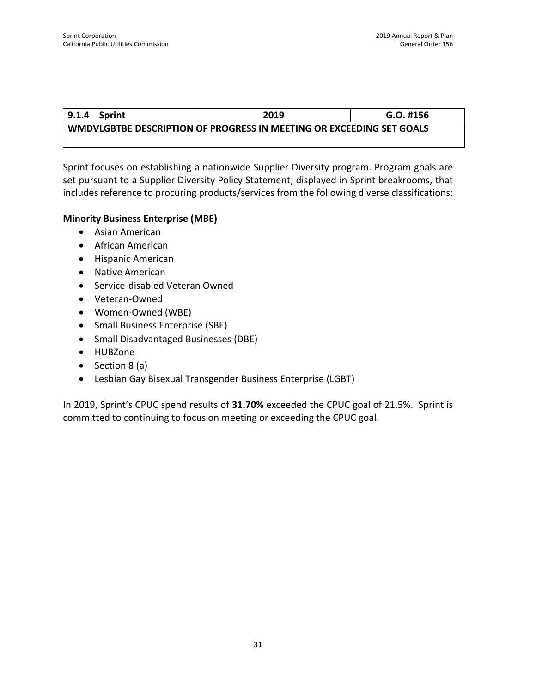### **9.1.4 Sprint 2019 G.O. #156 WMDVLGBTBE DESCRIPTION OF PROGRESS IN MEETING OR EXCEEDING SET GOALS**

Sprint focuses on establishing a nationwide Supplier Diversity program. Program goals are set pursuant to a Supplier Diversity Policy Statement, displayed in Sprint breakrooms, that includes reference to procuring products/services from the following diverse classifications:

#### **Minority Business Enterprise (MBE)**

- Asian American
- African American
- Hispanic American
- Native American
- Service-disabled Veteran Owned
- Veteran-Owned
- Women-Owned (WBE)
- Small Business Enterprise (SBE)
- Small Disadvantaged Businesses (DBE)
- HUBZone
- Section 8 (a)
- Lesbian Gay Bisexual Transgender Business Enterprise (LGBT)

In 2019, Sprint's CPUC spend results of **31.70%** exceeded the CPUC goal of 21.5%. Sprint is committed to continuing to focus on meeting or exceeding the CPUC goal.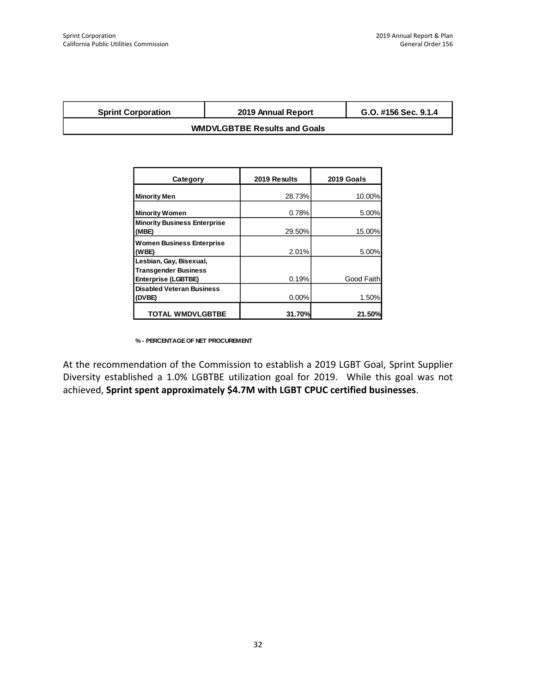| <b>Sprint Corporation</b>           | 2019 Annual Report | G.O. #156 Sec. 9.1.4 |  |  |
|-------------------------------------|--------------------|----------------------|--|--|
| <b>WMDVLGBTBE Results and Goals</b> |                    |                      |  |  |

| Category                                                                             | 2019 Results | 2019 Goals |
|--------------------------------------------------------------------------------------|--------------|------------|
| <b>Minority Men</b>                                                                  | 28.73%       | 10.00%     |
| <b>Minority Women</b>                                                                | 0.78%        | 5.00%      |
| <b>Minority Business Enterprise</b><br>(MBE)                                         | 29.50%       | 15.00%     |
| <b>Women Business Enterprise</b><br>(WBE)                                            | 2.01%        | 5.00%      |
| Lesbian, Gay, Bisexual,<br><b>Transgender Business</b><br><b>Enterprise (LGBTBE)</b> | 0.19%        | Good Faith |
| <b>Disabled Veteran Business</b><br>(DVBE)                                           | 0.00%        | 1.50%      |
| <b>TOTAL WMDVLGBTBE</b>                                                              | 31.70%       | 21.50%     |

**% - PERCENTAGE OF NET PROCUREMENT**

At the recommendation of the Commission to establish a 2019 LGBT Goal, Sprint Supplier Diversity established a 1.0% LGBTBE utilization goal for 2019. While this goal was not achieved, **Sprint spent approximately \$4.7M with LGBT CPUC certified businesses**.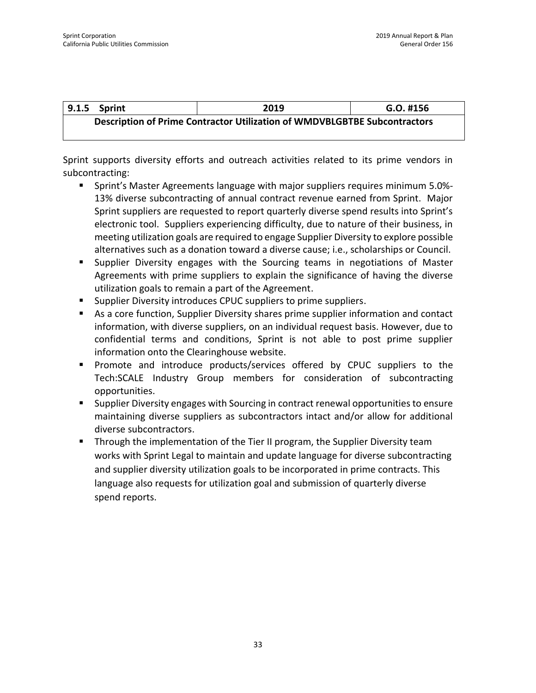| 9.1.5 Sprint                                                              | 2019 | $G.O.$ #156 |  |  |
|---------------------------------------------------------------------------|------|-------------|--|--|
| Description of Prime Contractor Utilization of WMDVBLGBTBE Subcontractors |      |             |  |  |

Sprint supports diversity efforts and outreach activities related to its prime vendors in subcontracting:

- Sprint's Master Agreements language with major suppliers requires minimum 5.0%- 13% diverse subcontracting of annual contract revenue earned from Sprint. Major Sprint suppliers are requested to report quarterly diverse spend results into Sprint's electronic tool. Suppliers experiencing difficulty, due to nature of their business, in meeting utilization goals are required to engage Supplier Diversity to explore possible alternatives such as a donation toward a diverse cause; i.e., scholarships or Council.
- Supplier Diversity engages with the Sourcing teams in negotiations of Master Agreements with prime suppliers to explain the significance of having the diverse utilization goals to remain a part of the Agreement.
- Supplier Diversity introduces CPUC suppliers to prime suppliers.
- As a core function, Supplier Diversity shares prime supplier information and contact information, with diverse suppliers, on an individual request basis. However, due to confidential terms and conditions, Sprint is not able to post prime supplier information onto the Clearinghouse website.
- Promote and introduce products/services offered by CPUC suppliers to the Tech:SCALE Industry Group members for consideration of subcontracting opportunities.
- Supplier Diversity engages with Sourcing in contract renewal opportunities to ensure maintaining diverse suppliers as subcontractors intact and/or allow for additional diverse subcontractors.
- **Through the implementation of the Tier II program, the Supplier Diversity team** works with Sprint Legal to maintain and update language for diverse subcontracting and supplier diversity utilization goals to be incorporated in prime contracts. This language also requests for utilization goal and submission of quarterly diverse spend reports.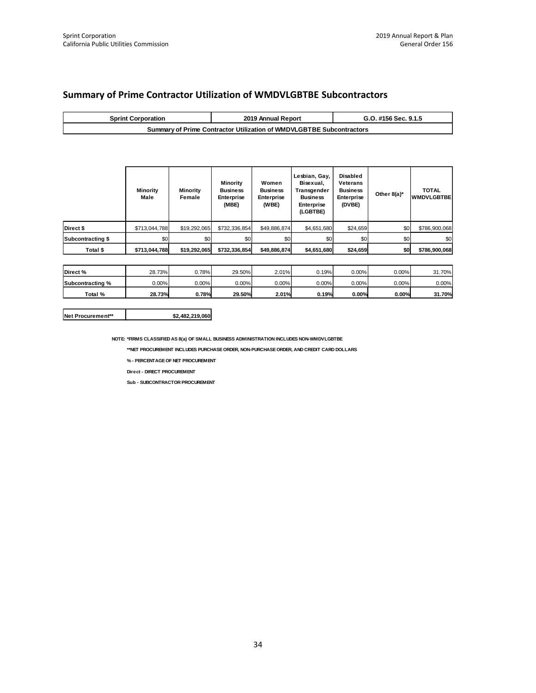|  |  | <b>Summary of Prime Contractor Utilization of WMDVLGBTBE Subcontractors</b> |  |  |
|--|--|-----------------------------------------------------------------------------|--|--|
|--|--|-----------------------------------------------------------------------------|--|--|

| <b>Sprint Corporation</b>                                            | 2019 Annual Report | G.O. #156 Sec. 9.1.5 |  |  |
|----------------------------------------------------------------------|--------------------|----------------------|--|--|
| Summary of Prime Contractor Utilization of WMDVLGBTBE Subcontractors |                    |                      |  |  |

|                   | <b>Minority</b><br>Male | <b>Minority</b><br>Female | Minority<br><b>Business</b><br>Enterprise<br>(MBE) | Women<br><b>Business</b><br>Enterprise<br>(WBE) | Lesbian, Gay,<br>Bisexual,<br>Transgender<br><b>Business</b><br>Enterprise<br>(LGBTBE) | Disabled<br>Veterans<br><b>Business</b><br>Enterprise<br>(DVBE) | Other $8(a)^*$ | <b>TOTAL</b><br><b>WMDVLGBTBE</b> |
|-------------------|-------------------------|---------------------------|----------------------------------------------------|-------------------------------------------------|----------------------------------------------------------------------------------------|-----------------------------------------------------------------|----------------|-----------------------------------|
| Direct \$         | \$713,044,788           | \$19,292,065              | \$732,336,854                                      | \$49,886,874                                    | \$4,651,680                                                                            | \$24,659                                                        | \$0            | \$786,900,068                     |
| Subcontracting \$ | \$0                     | \$0                       | \$0                                                | \$0                                             | \$0                                                                                    | \$0                                                             | \$0            | \$0                               |
| Total \$          | \$713,044,788           | \$19,292,065              | \$732,336,854                                      | \$49,886,874                                    | \$4,651,680                                                                            | \$24,659                                                        | \$0            | \$786,900,068                     |

| Direct%          | 28.73%   | 0.78%    | 29.50%   | 2.01%    | 0.19%    | $0.00\%$ | $0.00\%$ | 31.70%   |
|------------------|----------|----------|----------|----------|----------|----------|----------|----------|
| Subcontracting % | $0.00\%$ | $0.00\%$ | $0.00\%$ | $0.00\%$ | $0.00\%$ | $0.00\%$ | $0.00\%$ | $0.00\%$ |
| Total %          | 28.73%   | 0.78%    | 29.50%   | 2.01%    | 0.19%    | 0.00%    | 0.00%    | 31.70%   |

#### **Net Procurement\*\* \$2,482,219,060**

**NOTE: \*FIRMS CLASSIFIED AS 8(a) OF SMALL BUSINESS ADMINISTRATION INCLUDES NON-WMDVLGBTBE**

**\*\*NET PROCUREMENT INCLUDES PURCHASE ORDER, NON-PURCHASE ORDER, AND CREDIT CARD DOLLARS**

**% - PERCENTAGE OF NET PROCUREMENT**

**Direct - DIRECT PROCUREMENT**

**Sub - SUBCONTRACTOR PROCUREMENT**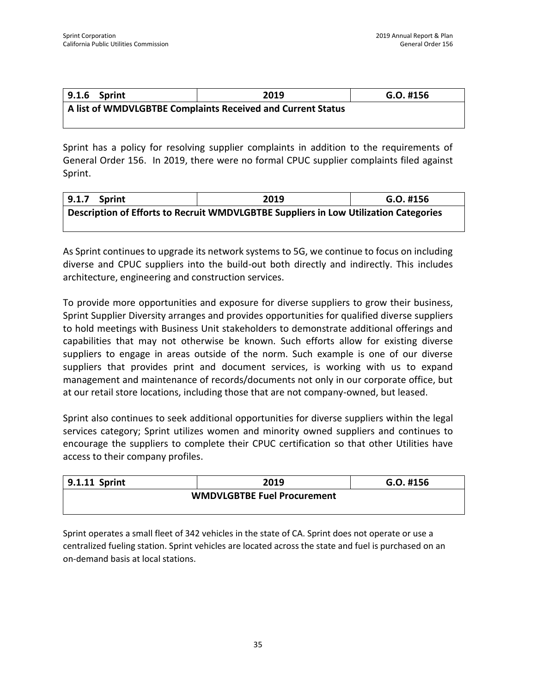| $9.1.6$ Sprint                                              | 2019 | G.O. #156 |  |  |  |
|-------------------------------------------------------------|------|-----------|--|--|--|
| A list of WMDVLGBTBE Complaints Received and Current Status |      |           |  |  |  |

Sprint has a policy for resolving supplier complaints in addition to the requirements of General Order 156. In 2019, there were no formal CPUC supplier complaints filed against Sprint.

| 9.1.7<br>Sprint | 2019                                                                                 | $G.O.$ #156 |
|-----------------|--------------------------------------------------------------------------------------|-------------|
|                 | Description of Efforts to Recruit WMDVLGBTBE Suppliers in Low Utilization Categories |             |

As Sprint continues to upgrade its network systems to 5G, we continue to focus on including diverse and CPUC suppliers into the build-out both directly and indirectly. This includes architecture, engineering and construction services.

To provide more opportunities and exposure for diverse suppliers to grow their business, Sprint Supplier Diversity arranges and provides opportunities for qualified diverse suppliers to hold meetings with Business Unit stakeholders to demonstrate additional offerings and capabilities that may not otherwise be known. Such efforts allow for existing diverse suppliers to engage in areas outside of the norm. Such example is one of our diverse suppliers that provides print and document services, is working with us to expand management and maintenance of records/documents not only in our corporate office, but at our retail store locations, including those that are not company-owned, but leased.

Sprint also continues to seek additional opportunities for diverse suppliers within the legal services category; Sprint utilizes women and minority owned suppliers and continues to encourage the suppliers to complete their CPUC certification so that other Utilities have access to their company profiles.

| 9.1.11 Sprint                      | 2019 | $G.O.$ #156 |
|------------------------------------|------|-------------|
| <b>WMDVLGBTBE Fuel Procurement</b> |      |             |
|                                    |      |             |

Sprint operates a small fleet of 342 vehicles in the state of CA. Sprint does not operate or use a centralized fueling station. Sprint vehicles are located across the state and fuel is purchased on an on-demand basis at local stations.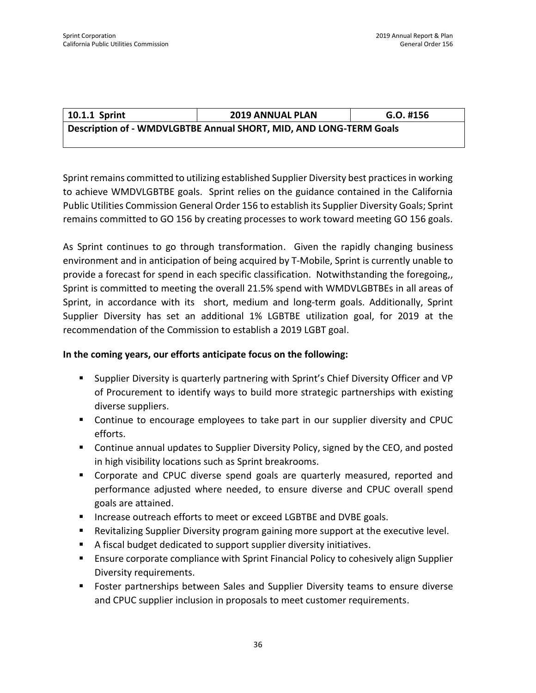| 10.1.1 Sprint                                                      | <b>2019 ANNUAL PLAN</b> | $G.O.$ #156 |
|--------------------------------------------------------------------|-------------------------|-------------|
| Description of - WMDVLGBTBE Annual SHORT, MID, AND LONG-TERM Goals |                         |             |

Sprint remains committed to utilizing established Supplier Diversity best practices in working to achieve WMDVLGBTBE goals. Sprint relies on the guidance contained in the California Public Utilities Commission General Order 156 to establish its Supplier Diversity Goals; Sprint remains committed to GO 156 by creating processes to work toward meeting GO 156 goals.

As Sprint continues to go through transformation. Given the rapidly changing business environment and in anticipation of being acquired by T-Mobile, Sprint is currently unable to provide a forecast for spend in each specific classification. Notwithstanding the foregoing,, Sprint is committed to meeting the overall 21.5% spend with WMDVLGBTBEs in all areas of Sprint, in accordance with its short, medium and long-term goals. Additionally, Sprint Supplier Diversity has set an additional 1% LGBTBE utilization goal, for 2019 at the recommendation of the Commission to establish a 2019 LGBT goal.

#### **In the coming years, our efforts anticipate focus on the following:**

- Supplier Diversity is quarterly partnering with Sprint's Chief Diversity Officer and VP of Procurement to identify ways to build more strategic partnerships with existing diverse suppliers.
- Continue to encourage employees to take part in our supplier diversity and CPUC efforts.
- Continue annual updates to Supplier Diversity Policy, signed by the CEO, and posted in high visibility locations such as Sprint breakrooms.
- Corporate and CPUC diverse spend goals are quarterly measured, reported and performance adjusted where needed, to ensure diverse and CPUC overall spend goals are attained.
- Increase outreach efforts to meet or exceed LGBTBE and DVBE goals.
- Revitalizing Supplier Diversity program gaining more support at the executive level.
- A fiscal budget dedicated to support supplier diversity initiatives.
- **E** Ensure corporate compliance with Sprint Financial Policy to cohesively align Supplier Diversity requirements.
- Foster partnerships between Sales and Supplier Diversity teams to ensure diverse and CPUC supplier inclusion in proposals to meet customer requirements.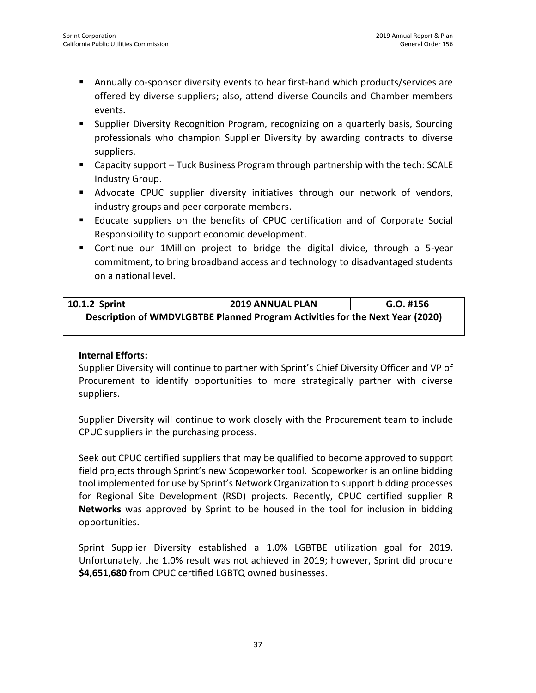- Annually co-sponsor diversity events to hear first-hand which products/services are offered by diverse suppliers; also, attend diverse Councils and Chamber members events.
- Supplier Diversity Recognition Program, recognizing on a quarterly basis, Sourcing professionals who champion Supplier Diversity by awarding contracts to diverse suppliers.
- Capacity support Tuck Business Program through partnership with the tech: SCALE Industry Group.
- **■** Advocate CPUC supplier diversity initiatives through our network of vendors, industry groups and peer corporate members.
- **E** Educate suppliers on the benefits of CPUC certification and of Corporate Social Responsibility to support economic development.
- Continue our 1Million project to bridge the digital divide, through a 5-year commitment, to bring broadband access and technology to disadvantaged students on a national level.

| 10.1.2 Sprint                                                                 | <b>2019 ANNUAL PLAN</b> | G.O. #156 |
|-------------------------------------------------------------------------------|-------------------------|-----------|
| Description of WMDVLGBTBE Planned Program Activities for the Next Year (2020) |                         |           |

#### **Internal Efforts:**

Supplier Diversity will continue to partner with Sprint's Chief Diversity Officer and VP of Procurement to identify opportunities to more strategically partner with diverse suppliers.

Supplier Diversity will continue to work closely with the Procurement team to include CPUC suppliers in the purchasing process.

Seek out CPUC certified suppliers that may be qualified to become approved to support field projects through Sprint's new Scopeworker tool. Scopeworker is an online bidding tool implemented for use by Sprint's Network Organization to support bidding processes for Regional Site Development (RSD) projects. Recently, CPUC certified supplier **R Networks** was approved by Sprint to be housed in the tool for inclusion in bidding opportunities.

Sprint Supplier Diversity established a 1.0% LGBTBE utilization goal for 2019. Unfortunately, the 1.0% result was not achieved in 2019; however, Sprint did procure **\$4,651,680** from CPUC certified LGBTQ owned businesses.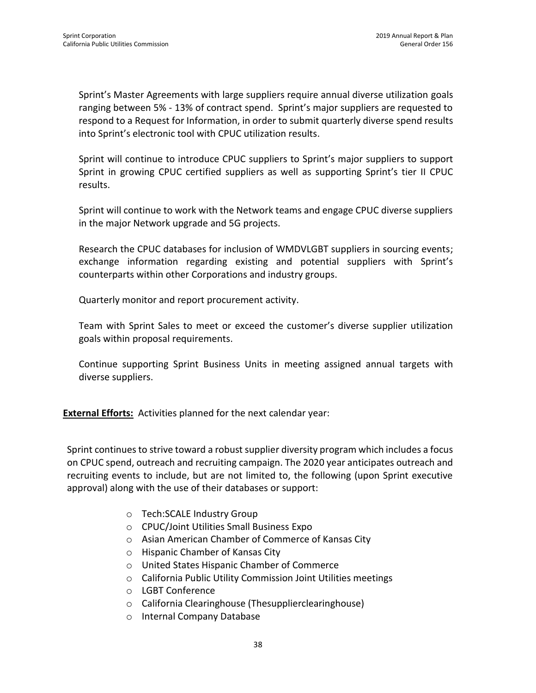Sprint's Master Agreements with large suppliers require annual diverse utilization goals ranging between 5% - 13% of contract spend. Sprint's major suppliers are requested to respond to a Request for Information, in order to submit quarterly diverse spend results into Sprint's electronic tool with CPUC utilization results.

Sprint will continue to introduce CPUC suppliers to Sprint's major suppliers to support Sprint in growing CPUC certified suppliers as well as supporting Sprint's tier II CPUC results.

Sprint will continue to work with the Network teams and engage CPUC diverse suppliers in the major Network upgrade and 5G projects.

Research the CPUC databases for inclusion of WMDVLGBT suppliers in sourcing events; exchange information regarding existing and potential suppliers with Sprint's counterparts within other Corporations and industry groups.

Quarterly monitor and report procurement activity.

Team with Sprint Sales to meet or exceed the customer's diverse supplier utilization goals within proposal requirements.

Continue supporting Sprint Business Units in meeting assigned annual targets with diverse suppliers.

**External Efforts:** Activities planned for the next calendar year:

Sprint continues to strive toward a robust supplier diversity program which includes a focus on CPUC spend, outreach and recruiting campaign. The 2020 year anticipates outreach and recruiting events to include, but are not limited to, the following (upon Sprint executive approval) along with the use of their databases or support:

- o Tech:SCALE Industry Group
- o CPUC/Joint Utilities Small Business Expo
- o Asian American Chamber of Commerce of Kansas City
- o Hispanic Chamber of Kansas City
- o United States Hispanic Chamber of Commerce
- o California Public Utility Commission Joint Utilities meetings
- o LGBT Conference
- o California Clearinghouse (Thesupplierclearinghouse)
- o Internal Company Database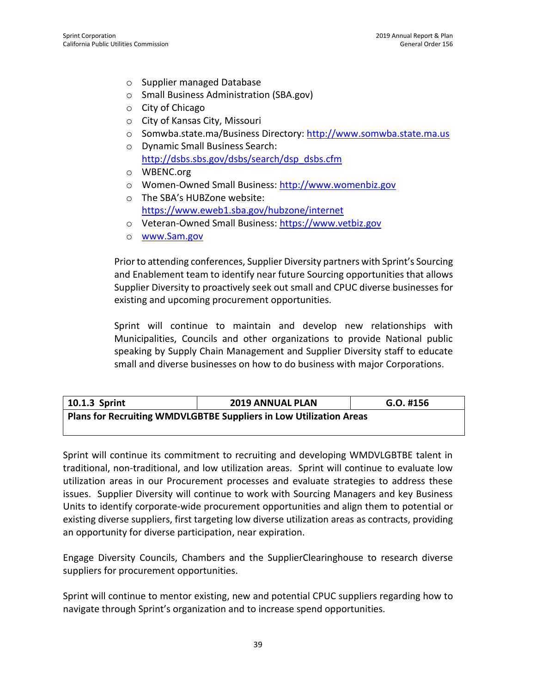- o Supplier managed Database
- o Small Business Administration (SBA.gov)
- o City of Chicago
- o City of Kansas City, Missouri
- o Somwba.state.ma/Business Directory: [http://www.somwba.state.ma.us](http://www.somwba.state.ma.us/)
- o Dynamic Small Business Search: [http://dsbs.sbs.gov/dsbs/search/dsp\\_dsbs.cfm](http://dsbs.sbs.gov/dsbs/search/dsp_dsbs.cfm)
- o WBENC.org
- o Women-Owned Small Business: [http://www.womenbiz.gov](http://www.womenbiz.gov/)
- o The SBA's HUBZone website: <https://www.eweb1.sba.gov/hubzone/internet>
- o Veteran-Owned Small Business: [https://www.vetbiz.gov](https://www.vetbiz.gov/)
- o [www.Sam.gov](http://www.sam.gov/)

Prior to attending conferences, Supplier Diversity partners with Sprint's Sourcing and Enablement team to identify near future Sourcing opportunities that allows Supplier Diversity to proactively seek out small and CPUC diverse businesses for existing and upcoming procurement opportunities.

Sprint will continue to maintain and develop new relationships with Municipalities, Councils and other organizations to provide National public speaking by Supply Chain Management and Supplier Diversity staff to educate small and diverse businesses on how to do business with major Corporations.

| 10.1.3 Sprint                                                      | <b>2019 ANNUAL PLAN</b> | $G.O.$ #156 |
|--------------------------------------------------------------------|-------------------------|-------------|
| Plans for Recruiting WMDVLGBTBE Suppliers in Low Utilization Areas |                         |             |

Sprint will continue its commitment to recruiting and developing WMDVLGBTBE talent in traditional, non-traditional, and low utilization areas. Sprint will continue to evaluate low utilization areas in our Procurement processes and evaluate strategies to address these issues. Supplier Diversity will continue to work with Sourcing Managers and key Business Units to identify corporate-wide procurement opportunities and align them to potential or existing diverse suppliers, first targeting low diverse utilization areas as contracts, providing an opportunity for diverse participation, near expiration.

Engage Diversity Councils, Chambers and the SupplierClearinghouse to research diverse suppliers for procurement opportunities.

Sprint will continue to mentor existing, new and potential CPUC suppliers regarding how to navigate through Sprint's organization and to increase spend opportunities.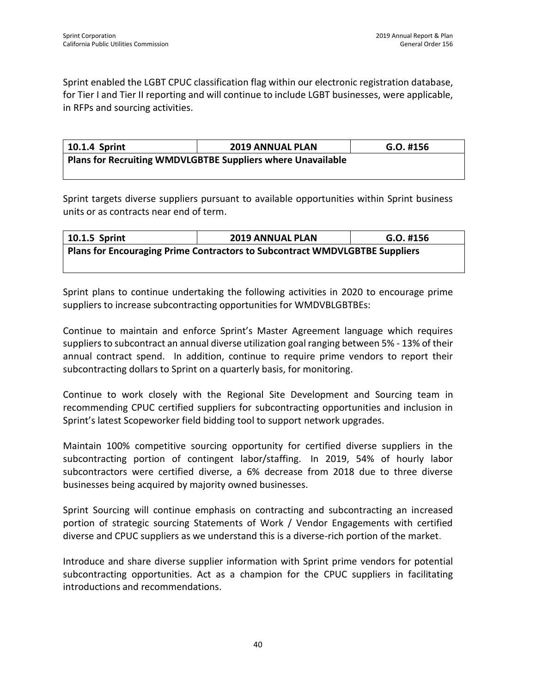Sprint enabled the LGBT CPUC classification flag within our electronic registration database, for Tier I and Tier II reporting and will continue to include LGBT businesses, were applicable, in RFPs and sourcing activities.

| 10.1.4 Sprint                                               | <b>2019 ANNUAL PLAN</b> | $G.O.$ #156 |
|-------------------------------------------------------------|-------------------------|-------------|
| Plans for Recruiting WMDVLGBTBE Suppliers where Unavailable |                         |             |

Sprint targets diverse suppliers pursuant to available opportunities within Sprint business units or as contracts near end of term.

| 10.1.5 Sprint                                                                      | <b>2019 ANNUAL PLAN</b> | $G.O.$ #156 |
|------------------------------------------------------------------------------------|-------------------------|-------------|
| <b>Plans for Encouraging Prime Contractors to Subcontract WMDVLGBTBE Suppliers</b> |                         |             |
|                                                                                    |                         |             |

Sprint plans to continue undertaking the following activities in 2020 to encourage prime suppliers to increase subcontracting opportunities for WMDVBLGBTBEs:

Continue to maintain and enforce Sprint's Master Agreement language which requires suppliers to subcontract an annual diverse utilization goal ranging between 5% - 13% of their annual contract spend. In addition, continue to require prime vendors to report their subcontracting dollars to Sprint on a quarterly basis, for monitoring.

Continue to work closely with the Regional Site Development and Sourcing team in recommending CPUC certified suppliers for subcontracting opportunities and inclusion in Sprint's latest Scopeworker field bidding tool to support network upgrades.

Maintain 100% competitive sourcing opportunity for certified diverse suppliers in the subcontracting portion of contingent labor/staffing. In 2019, 54% of hourly labor subcontractors were certified diverse, a 6% decrease from 2018 due to three diverse businesses being acquired by majority owned businesses.

Sprint Sourcing will continue emphasis on contracting and subcontracting an increased portion of strategic sourcing Statements of Work / Vendor Engagements with certified diverse and CPUC suppliers as we understand this is a diverse-rich portion of the market.

Introduce and share diverse supplier information with Sprint prime vendors for potential subcontracting opportunities. Act as a champion for the CPUC suppliers in facilitating introductions and recommendations.